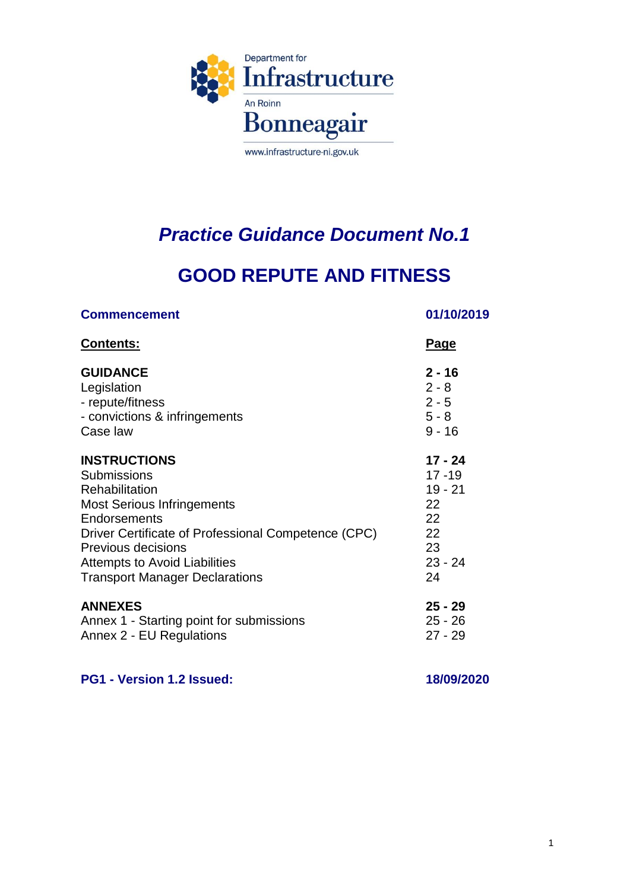

# *Practice Guidance Document No.1*

# **GOOD REPUTE AND FITNESS**

| <b>Commencement</b>                                 | 01/10/2019  |
|-----------------------------------------------------|-------------|
| <b>Contents:</b>                                    | <u>Page</u> |
| <b>GUIDANCE</b>                                     | $2 - 16$    |
| Legislation                                         | $2 - 8$     |
| - repute/fitness                                    | $2 - 5$     |
| - convictions & infringements                       | $5 - 8$     |
| Case law                                            | $9 - 16$    |
| <b>INSTRUCTIONS</b>                                 | 17 - 24     |
| <b>Submissions</b>                                  | $17 - 19$   |
| Rehabilitation                                      | $19 - 21$   |
| <b>Most Serious Infringements</b>                   | 22          |
| Endorsements                                        | 22          |
| Driver Certificate of Professional Competence (CPC) | 22          |
| Previous decisions                                  | 23          |
| <b>Attempts to Avoid Liabilities</b>                | $23 - 24$   |
| <b>Transport Manager Declarations</b>               | 24          |
| <b>ANNEXES</b>                                      | $25 - 29$   |
| Annex 1 - Starting point for submissions            | $25 - 26$   |
| Annex 2 - EU Regulations                            | $27 - 29$   |
|                                                     |             |

**PG1 - Version 1.2 Issued: 18/09/2020**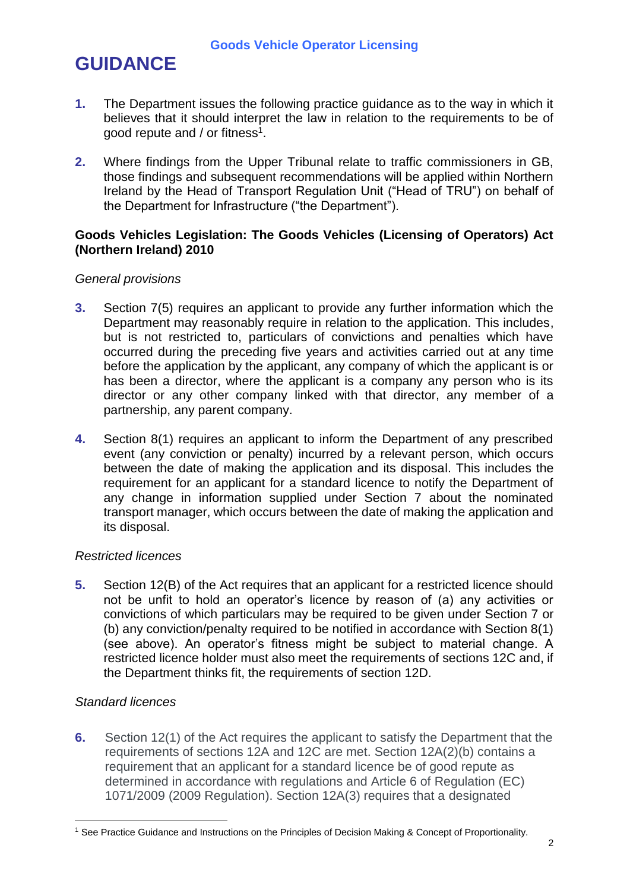# **GUIDANCE**

- **1.** The Department issues the following practice guidance as to the way in which it believes that it should interpret the law in relation to the requirements to be of good repute and / or fitness<sup>1</sup>.
- **2.** Where findings from the Upper Tribunal relate to traffic commissioners in GB, those findings and subsequent recommendations will be applied within Northern Ireland by the Head of Transport Regulation Unit ("Head of TRU") on behalf of the Department for Infrastructure ("the Department").

### **Goods Vehicles Legislation: The Goods Vehicles (Licensing of Operators) Act (Northern Ireland) 2010**

#### *General provisions*

- **3.** Section 7(5) requires an applicant to provide any further information which the Department may reasonably require in relation to the application. This includes, but is not restricted to, particulars of convictions and penalties which have occurred during the preceding five years and activities carried out at any time before the application by the applicant, any company of which the applicant is or has been a director, where the applicant is a company any person who is its director or any other company linked with that director, any member of a partnership, any parent company.
- **4.** Section 8(1) requires an applicant to inform the Department of any prescribed event (any conviction or penalty) incurred by a relevant person, which occurs between the date of making the application and its disposal. This includes the requirement for an applicant for a standard licence to notify the Department of any change in information supplied under Section 7 about the nominated transport manager, which occurs between the date of making the application and its disposal.

#### *Restricted licences*

**5.** Section 12(B) of the Act requires that an applicant for a restricted licence should not be unfit to hold an operator's licence by reason of (a) any activities or convictions of which particulars may be required to be given under Section 7 or (b) any conviction/penalty required to be notified in accordance with Section 8(1) (see above). An operator's fitness might be subject to material change. A restricted licence holder must also meet the requirements of sections 12C and, if the Department thinks fit, the requirements of section 12D.

### *Standard licences*

 $\overline{a}$ 

**6.** Section 12(1) of the Act requires the applicant to satisfy the Department that the requirements of sections 12A and 12C are met. Section 12A(2)(b) contains a requirement that an applicant for a standard licence be of good repute as determined in accordance with regulations and Article 6 of Regulation (EC) 1071/2009 (2009 Regulation). Section 12A(3) requires that a designated

<sup>&</sup>lt;sup>1</sup> See Practice Guidance and Instructions on the Principles of Decision Making & Concept of Proportionality.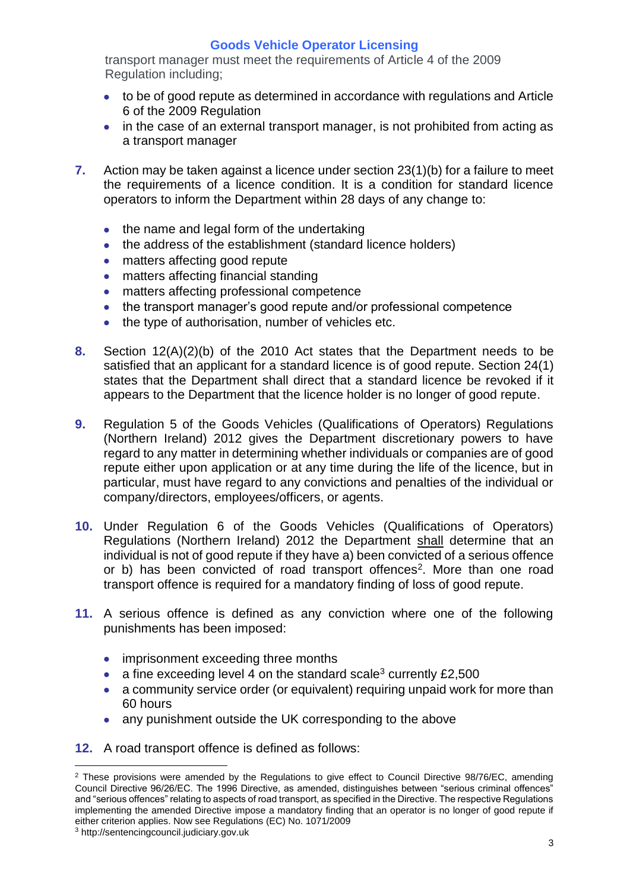transport manager must meet the requirements of Article 4 of the 2009 Regulation including;

- to be of good repute as determined in accordance with regulations and Article 6 of the 2009 Regulation
- in the case of an external transport manager, is not prohibited from acting as a transport manager
- **7.** Action may be taken against a licence under section 23(1)(b) for a failure to meet the requirements of a licence condition. It is a condition for standard licence operators to inform the Department within 28 days of any change to:
	- the name and legal form of the undertaking
	- the address of the establishment (standard licence holders)
	- matters affecting good repute
	- matters affecting financial standing
	- matters affecting professional competence
	- the transport manager's good repute and/or professional competence
	- the type of authorisation, number of vehicles etc.
- **8.** Section 12(A)(2)(b) of the 2010 Act states that the Department needs to be satisfied that an applicant for a standard licence is of good repute. Section 24(1) states that the Department shall direct that a standard licence be revoked if it appears to the Department that the licence holder is no longer of good repute.
- **9.** Regulation 5 of the Goods Vehicles (Qualifications of Operators) Regulations (Northern Ireland) 2012 gives the Department discretionary powers to have regard to any matter in determining whether individuals or companies are of good repute either upon application or at any time during the life of the licence, but in particular, must have regard to any convictions and penalties of the individual or company/directors, employees/officers, or agents.
- **10.** Under Regulation 6 of the Goods Vehicles (Qualifications of Operators) Regulations (Northern Ireland) 2012 the Department shall determine that an individual is not of good repute if they have a) been convicted of a serious offence or b) has been convicted of road transport offences<sup>2</sup>. More than one road transport offence is required for a mandatory finding of loss of good repute.
- **11.** A serious offence is defined as any conviction where one of the following punishments has been imposed:
	- imprisonment exceeding three months
	- a fine exceeding level 4 on the standard scale<sup>3</sup> currently  $£2,500$
	- a community service order (or equivalent) requiring unpaid work for more than 60 hours
	- any punishment outside the UK corresponding to the above
- **12.** A road transport offence is defined as follows:

<sup>&</sup>lt;sup>2</sup> These provisions were amended by the Regulations to give effect to Council Directive 98/76/EC, amending Council Directive 96/26/EC. The 1996 Directive, as amended, distinguishes between "serious criminal offences" and "serious offences" relating to aspects of road transport, as specified in the Directive. The respective Regulations implementing the amended Directive impose a mandatory finding that an operator is no longer of good repute if either criterion applies. Now see Regulations (EC) No. 1071/2009

<sup>3</sup> http://sentencingcouncil.judiciary.gov.uk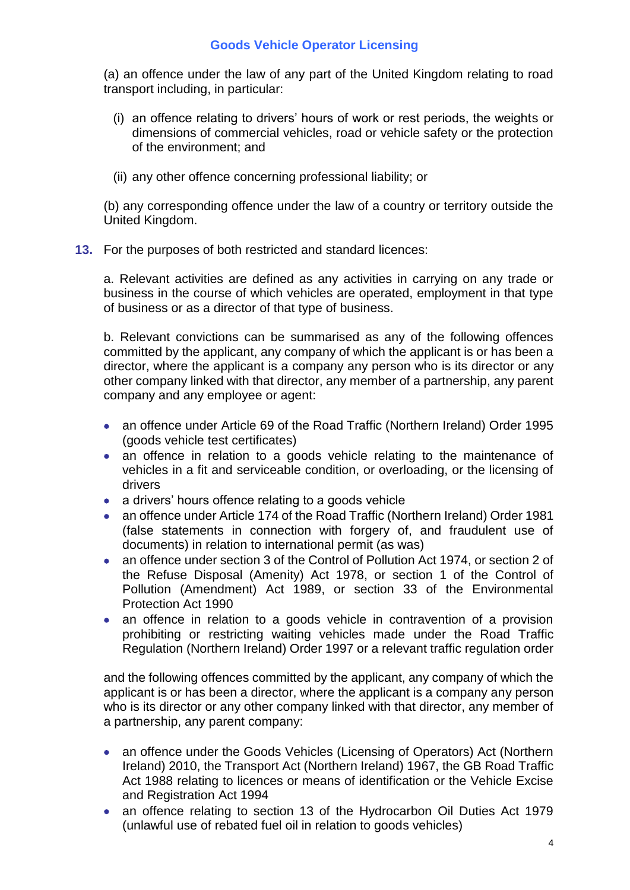(a) an offence under the law of any part of the United Kingdom relating to road transport including, in particular:

- (i) an offence relating to drivers' hours of work or rest periods, the weights or dimensions of commercial vehicles, road or vehicle safety or the protection of the environment; and
- (ii) any other offence concerning professional liability; or

(b) any corresponding offence under the law of a country or territory outside the United Kingdom.

**13.** For the purposes of both restricted and standard licences:

a. Relevant activities are defined as any activities in carrying on any trade or business in the course of which vehicles are operated, employment in that type of business or as a director of that type of business.

b. Relevant convictions can be summarised as any of the following offences committed by the applicant, any company of which the applicant is or has been a director, where the applicant is a company any person who is its director or any other company linked with that director, any member of a partnership, any parent company and any employee or agent:

- an offence under Article 69 of the Road Traffic (Northern Ireland) Order 1995 (goods vehicle test certificates)
- an offence in relation to a goods vehicle relating to the maintenance of vehicles in a fit and serviceable condition, or overloading, or the licensing of drivers
- a drivers' hours offence relating to a goods vehicle
- an offence under Article 174 of the Road Traffic (Northern Ireland) Order 1981 (false statements in connection with forgery of, and fraudulent use of documents) in relation to international permit (as was)
- an offence under section 3 of the Control of Pollution Act 1974, or section 2 of the Refuse Disposal (Amenity) Act 1978, or section 1 of the Control of Pollution (Amendment) Act 1989, or section 33 of the Environmental Protection Act 1990
- an offence in relation to a goods vehicle in contravention of a provision prohibiting or restricting waiting vehicles made under the Road Traffic Regulation (Northern Ireland) Order 1997 or a relevant traffic regulation order

and the following offences committed by the applicant, any company of which the applicant is or has been a director, where the applicant is a company any person who is its director or any other company linked with that director, any member of a partnership, any parent company:

- an offence under the Goods Vehicles (Licensing of Operators) Act (Northern Ireland) 2010, the Transport Act (Northern Ireland) 1967, the GB Road Traffic Act 1988 relating to licences or means of identification or the Vehicle Excise and Registration Act 1994
- an offence relating to section 13 of the Hydrocarbon Oil Duties Act 1979 (unlawful use of rebated fuel oil in relation to goods vehicles)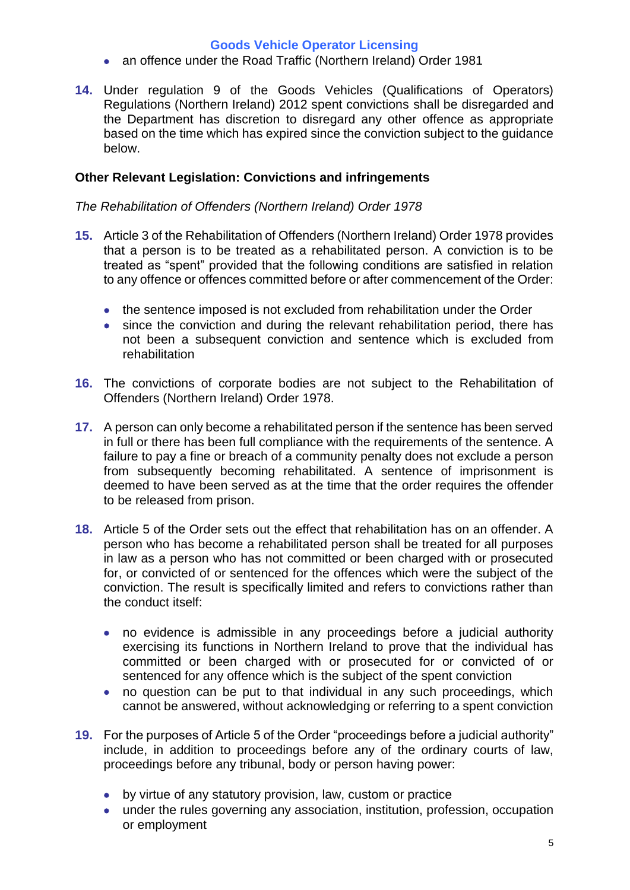- an offence under the Road Traffic (Northern Ireland) Order 1981
- **14.** Under regulation 9 of the Goods Vehicles (Qualifications of Operators) Regulations (Northern Ireland) 2012 spent convictions shall be disregarded and the Department has discretion to disregard any other offence as appropriate based on the time which has expired since the conviction subject to the guidance below.

### **Other Relevant Legislation: Convictions and infringements**

### *The Rehabilitation of Offenders (Northern Ireland) Order 1978*

- **15.** Article 3 of the Rehabilitation of Offenders (Northern Ireland) Order 1978 provides that a person is to be treated as a rehabilitated person. A conviction is to be treated as "spent" provided that the following conditions are satisfied in relation to any offence or offences committed before or after commencement of the Order:
	- the sentence imposed is not excluded from rehabilitation under the Order
	- since the conviction and during the relevant rehabilitation period, there has not been a subsequent conviction and sentence which is excluded from rehabilitation
- **16.** The convictions of corporate bodies are not subject to the Rehabilitation of Offenders (Northern Ireland) Order 1978.
- **17.** A person can only become a rehabilitated person if the sentence has been served in full or there has been full compliance with the requirements of the sentence. A failure to pay a fine or breach of a community penalty does not exclude a person from subsequently becoming rehabilitated. A sentence of imprisonment is deemed to have been served as at the time that the order requires the offender to be released from prison.
- **18.** Article 5 of the Order sets out the effect that rehabilitation has on an offender. A person who has become a rehabilitated person shall be treated for all purposes in law as a person who has not committed or been charged with or prosecuted for, or convicted of or sentenced for the offences which were the subject of the conviction. The result is specifically limited and refers to convictions rather than the conduct itself:
	- no evidence is admissible in any proceedings before a judicial authority exercising its functions in Northern Ireland to prove that the individual has committed or been charged with or prosecuted for or convicted of or sentenced for any offence which is the subject of the spent conviction
	- no question can be put to that individual in any such proceedings, which cannot be answered, without acknowledging or referring to a spent conviction
- **19.** For the purposes of Article 5 of the Order "proceedings before a judicial authority" include, in addition to proceedings before any of the ordinary courts of law, proceedings before any tribunal, body or person having power:
	- by virtue of any statutory provision, law, custom or practice
	- under the rules governing any association, institution, profession, occupation or employment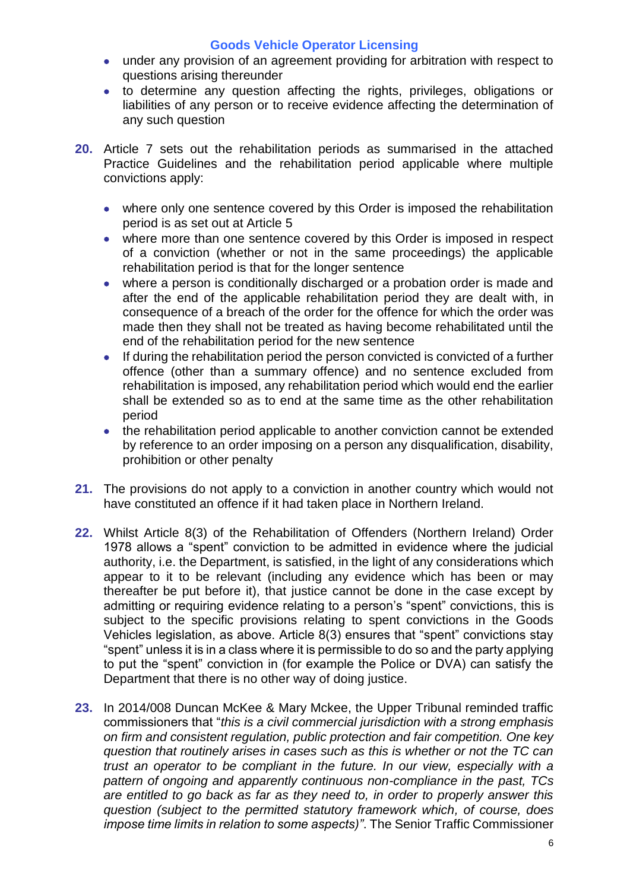- under any provision of an agreement providing for arbitration with respect to questions arising thereunder
- to determine any question affecting the rights, privileges, obligations or liabilities of any person or to receive evidence affecting the determination of any such question
- **20.** Article 7 sets out the rehabilitation periods as summarised in the attached Practice Guidelines and the rehabilitation period applicable where multiple convictions apply:
	- where only one sentence covered by this Order is imposed the rehabilitation period is as set out at Article 5
	- where more than one sentence covered by this Order is imposed in respect of a conviction (whether or not in the same proceedings) the applicable rehabilitation period is that for the longer sentence
	- where a person is conditionally discharged or a probation order is made and after the end of the applicable rehabilitation period they are dealt with, in consequence of a breach of the order for the offence for which the order was made then they shall not be treated as having become rehabilitated until the end of the rehabilitation period for the new sentence
	- If during the rehabilitation period the person convicted is convicted of a further offence (other than a summary offence) and no sentence excluded from rehabilitation is imposed, any rehabilitation period which would end the earlier shall be extended so as to end at the same time as the other rehabilitation period
	- the rehabilitation period applicable to another conviction cannot be extended by reference to an order imposing on a person any disqualification, disability, prohibition or other penalty
- **21.** The provisions do not apply to a conviction in another country which would not have constituted an offence if it had taken place in Northern Ireland.
- **22.** Whilst Article 8(3) of the Rehabilitation of Offenders (Northern Ireland) Order 1978 allows a "spent" conviction to be admitted in evidence where the judicial authority, i.e. the Department, is satisfied, in the light of any considerations which appear to it to be relevant (including any evidence which has been or may thereafter be put before it), that justice cannot be done in the case except by admitting or requiring evidence relating to a person's "spent" convictions, this is subject to the specific provisions relating to spent convictions in the Goods Vehicles legislation, as above. Article 8(3) ensures that "spent" convictions stay "spent" unless it is in a class where it is permissible to do so and the party applying to put the "spent" conviction in (for example the Police or DVA) can satisfy the Department that there is no other way of doing justice.
- **23.** In 2014/008 Duncan McKee & Mary Mckee, the Upper Tribunal reminded traffic commissioners that "*this is a civil commercial jurisdiction with a strong emphasis on firm and consistent regulation, public protection and fair competition. One key question that routinely arises in cases such as this is whether or not the TC can trust an operator to be compliant in the future. In our view, especially with a pattern of ongoing and apparently continuous non-compliance in the past, TCs are entitled to go back as far as they need to, in order to properly answer this question (subject to the permitted statutory framework which, of course, does impose time limits in relation to some aspects)"*. The Senior Traffic Commissioner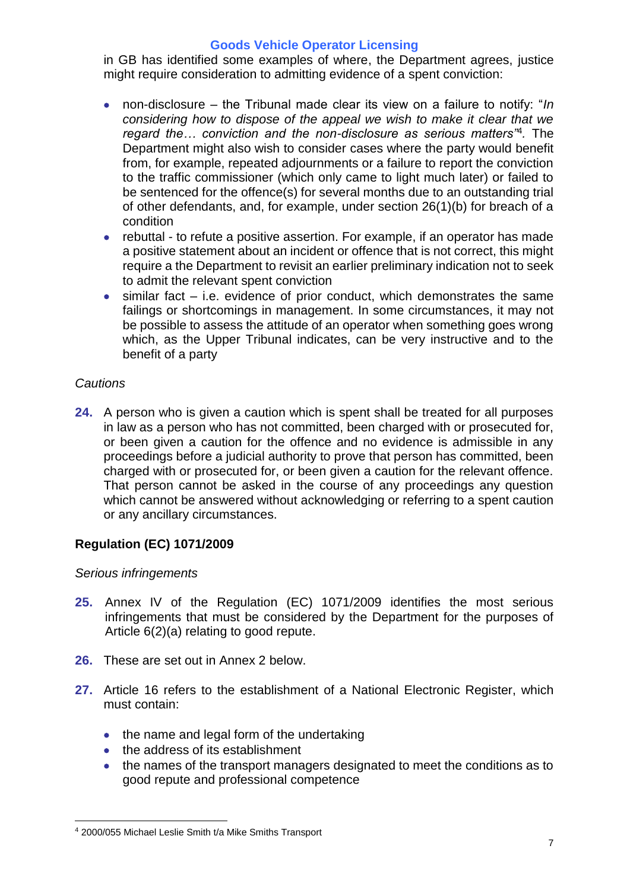in GB has identified some examples of where, the Department agrees, justice might require consideration to admitting evidence of a spent conviction:

- non-disclosure the Tribunal made clear its view on a failure to notify: "*In considering how to dispose of the appeal we wish to make it clear that we regard the… conviction and the non-disclosure as serious matters"*<sup>4</sup> *.* The Department might also wish to consider cases where the party would benefit from, for example, repeated adjournments or a failure to report the conviction to the traffic commissioner (which only came to light much later) or failed to be sentenced for the offence(s) for several months due to an outstanding trial of other defendants, and, for example, under section 26(1)(b) for breach of a condition
- rebuttal to refute a positive assertion. For example, if an operator has made a positive statement about an incident or offence that is not correct, this might require a the Department to revisit an earlier preliminary indication not to seek to admit the relevant spent conviction
- $\bullet$  similar fact i.e. evidence of prior conduct, which demonstrates the same failings or shortcomings in management. In some circumstances, it may not be possible to assess the attitude of an operator when something goes wrong which, as the Upper Tribunal indicates, can be very instructive and to the benefit of a party

# *Cautions*

**24.** A person who is given a caution which is spent shall be treated for all purposes in law as a person who has not committed, been charged with or prosecuted for, or been given a caution for the offence and no evidence is admissible in any proceedings before a judicial authority to prove that person has committed, been charged with or prosecuted for, or been given a caution for the relevant offence. That person cannot be asked in the course of any proceedings any question which cannot be answered without acknowledging or referring to a spent caution or any ancillary circumstances.

# **Regulation (EC) 1071/2009**

#### *Serious infringements*

- **25.** Annex IV of the Regulation (EC) 1071/2009 identifies the most serious infringements that must be considered by the Department for the purposes of Article 6(2)(a) relating to good repute.
- **26.** These are set out in Annex 2 below.
- **27.** Article 16 refers to the establishment of a National Electronic Register, which must contain:
	- the name and legal form of the undertaking
	- the address of its establishment
	- the names of the transport managers designated to meet the conditions as to good repute and professional competence

 $\overline{a}$ <sup>4</sup> 2000/055 Michael Leslie Smith t/a Mike Smiths Transport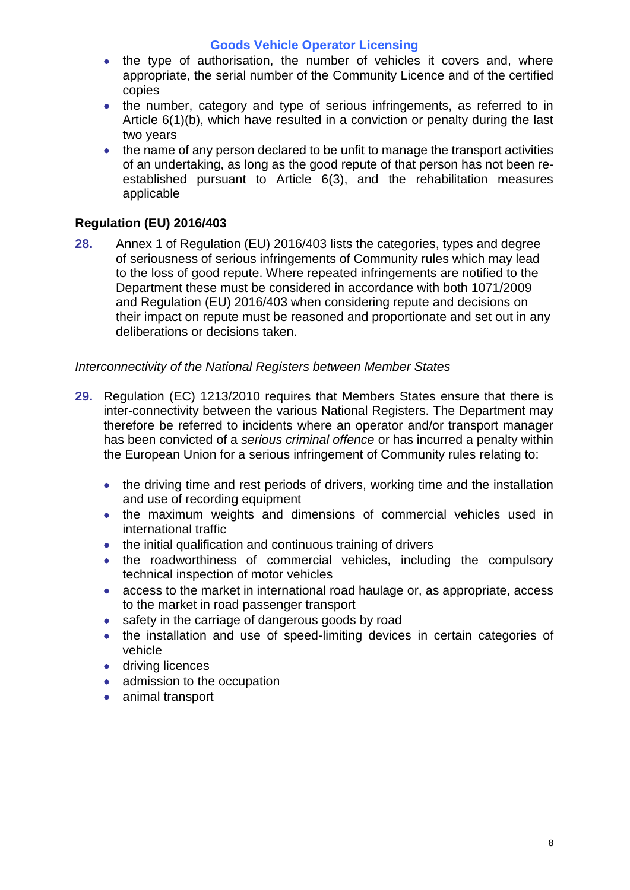- the type of authorisation, the number of vehicles it covers and, where appropriate, the serial number of the Community Licence and of the certified copies
- the number, category and type of serious infringements, as referred to in Article 6(1)(b), which have resulted in a conviction or penalty during the last two years
- the name of any person declared to be unfit to manage the transport activities of an undertaking, as long as the good repute of that person has not been reestablished pursuant to Article 6(3), and the rehabilitation measures applicable

# **Regulation (EU) 2016/403**

**28.** Annex 1 of Regulation (EU) 2016/403 lists the categories, types and degree of seriousness of serious infringements of Community rules which may lead to the loss of good repute. Where repeated infringements are notified to the Department these must be considered in accordance with both 1071/2009 and Regulation (EU) 2016/403 when considering repute and decisions on their impact on repute must be reasoned and proportionate and set out in any deliberations or decisions taken.

### *Interconnectivity of the National Registers between Member States*

- **29.** Regulation (EC) 1213/2010 requires that Members States ensure that there is inter-connectivity between the various National Registers. The Department may therefore be referred to incidents where an operator and/or transport manager has been convicted of a *serious criminal offence* or has incurred a penalty within the European Union for a serious infringement of Community rules relating to:
	- the driving time and rest periods of drivers, working time and the installation and use of recording equipment
	- the maximum weights and dimensions of commercial vehicles used in international traffic
	- the initial qualification and continuous training of drivers
	- the roadworthiness of commercial vehicles, including the compulsory technical inspection of motor vehicles
	- access to the market in international road haulage or, as appropriate, access to the market in road passenger transport
	- safety in the carriage of dangerous goods by road
	- the installation and use of speed-limiting devices in certain categories of vehicle
	- **•** driving licences
	- admission to the occupation
	- animal transport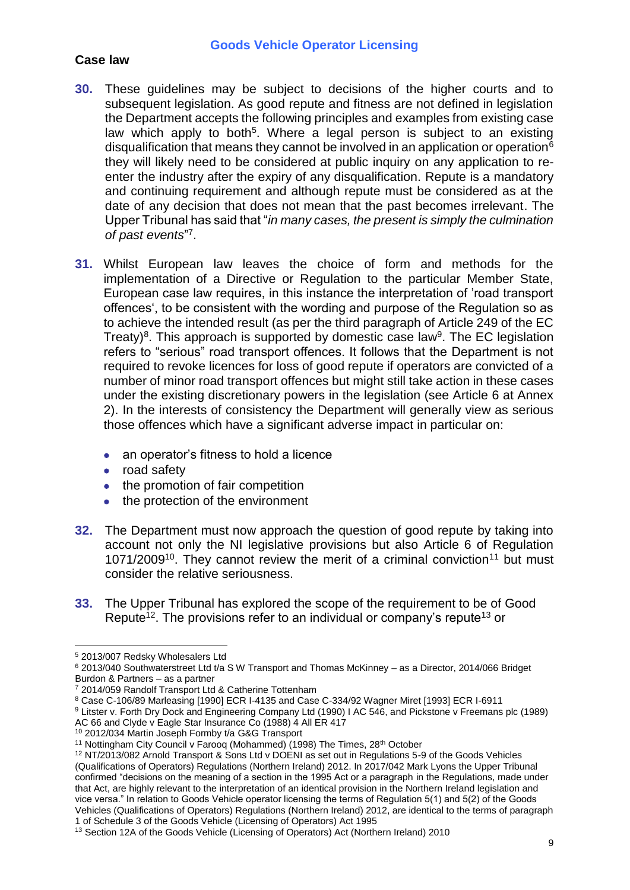### **Case law**

- **30.** These guidelines may be subject to decisions of the higher courts and to subsequent legislation. As good repute and fitness are not defined in legislation the Department accepts the following principles and examples from existing case law which apply to both<sup>5</sup>. Where a legal person is subject to an existing disqualification that means they cannot be involved in an application or operation  $6$ they will likely need to be considered at public inquiry on any application to reenter the industry after the expiry of any disqualification. Repute is a mandatory and continuing requirement and although repute must be considered as at the date of any decision that does not mean that the past becomes irrelevant. The Upper Tribunal has said that "*in many cases, the present is simply the culmination*  of past events"<sup>7</sup>.
- **31.** Whilst European law leaves the choice of form and methods for the implementation of a Directive or Regulation to the particular Member State, European case law requires, in this instance the interpretation of 'road transport offences', to be consistent with the wording and purpose of the Regulation so as to achieve the intended result (as per the third paragraph of Article 249 of the EC Treaty)<sup>8</sup>. This approach is supported by domestic case law<sup>9</sup>. The EC legislation refers to "serious" road transport offences. It follows that the Department is not required to revoke licences for loss of good repute if operators are convicted of a number of minor road transport offences but might still take action in these cases under the existing discretionary powers in the legislation (see Article 6 at Annex 2). In the interests of consistency the Department will generally view as serious those offences which have a significant adverse impact in particular on:
	- an operator's fitness to hold a licence
	- road safety
	- the promotion of fair competition
	- the protection of the environment
- **32.** The Department must now approach the question of good repute by taking into account not only the NI legislative provisions but also Article 6 of Regulation  $1071/2009<sup>10</sup>$ . They cannot review the merit of a criminal conviction<sup>11</sup> but must consider the relative seriousness.
- **33.** The Upper Tribunal has explored the scope of the requirement to be of Good Repute<sup>12</sup>. The provisions refer to an individual or company's repute<sup>13</sup> or

 $\overline{a}$ <sup>5</sup> 2013/007 Redsky Wholesalers Ltd

 $6$  2013/040 Southwaterstreet Ltd t/a S W Transport and Thomas McKinney - as a Director, 2014/066 Bridget Burdon & Partners – as a partner

<sup>&</sup>lt;sup>7</sup> 2014/059 Randolf Transport Ltd & Catherine Tottenham

<sup>8</sup> Case C-106/89 Marleasing [1990] ECR I-4135 and Case C-334/92 Wagner Miret [1993] ECR I-6911

<sup>9</sup> Litster v. Forth Dry Dock and Engineering Company Ltd (1990) I AC 546, and Pickstone v Freemans plc (1989) AC 66 and Clyde v Eagle Star Insurance Co (1988) 4 All ER 417

<sup>10</sup> 2012/034 Martin Joseph Formby t/a G&G Transport

<sup>&</sup>lt;sup>11</sup> Nottingham City Council v Farooq (Mohammed) (1998) The Times, 28<sup>th</sup> October

<sup>12</sup> NT/2013/082 Arnold Transport & Sons Ltd v DOENI as set out in Regulations 5-9 of the Goods Vehicles (Qualifications of Operators) Regulations (Northern Ireland) 2012. In 2017/042 Mark Lyons the Upper Tribunal confirmed "decisions on the meaning of a section in the 1995 Act or a paragraph in the Regulations, made under that Act, are highly relevant to the interpretation of an identical provision in the Northern Ireland legislation and vice versa." In relation to Goods Vehicle operator licensing the terms of Regulation 5(1) and 5(2) of the Goods Vehicles (Qualifications of Operators) Regulations (Northern Ireland) 2012, are identical to the terms of paragraph 1 of Schedule 3 of the Goods Vehicle (Licensing of Operators) Act 1995

<sup>&</sup>lt;sup>13</sup> Section 12A of the Goods Vehicle (Licensing of Operators) Act (Northern Ireland) 2010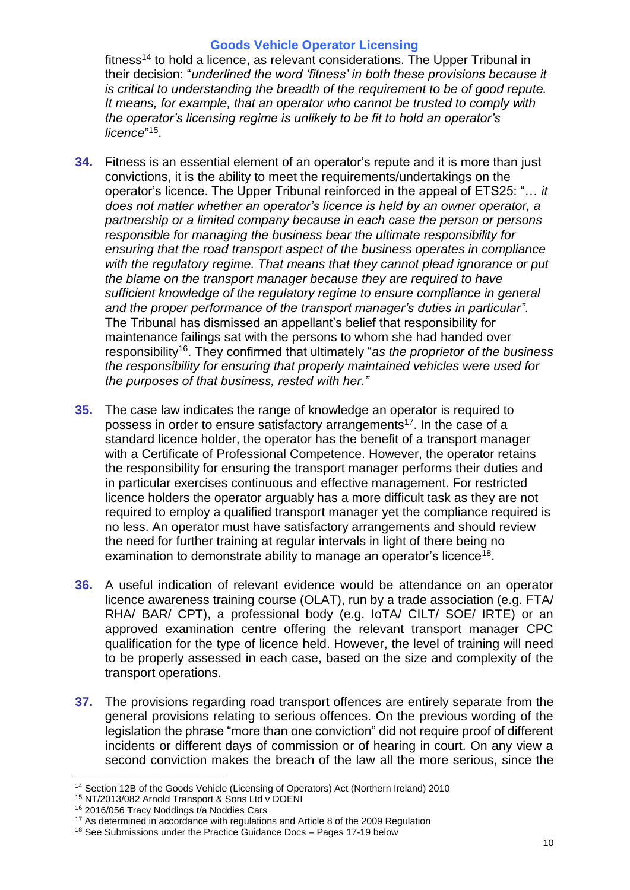fitness<sup>14</sup> to hold a licence, as relevant considerations. The Upper Tribunal in their decision: "*underlined the word 'fitness' in both these provisions because it is critical to understanding the breadth of the requirement to be of good repute. It means, for example, that an operator who cannot be trusted to comply with the operator's licensing regime is unlikely to be fit to hold an operator's*  licence"<sup>15</sup>.

- **34.** Fitness is an essential element of an operator's repute and it is more than just convictions, it is the ability to meet the requirements/undertakings on the operator's licence. The Upper Tribunal reinforced in the appeal of ETS25: "… *it does not matter whether an operator's licence is held by an owner operator, a partnership or a limited company because in each case the person or persons responsible for managing the business bear the ultimate responsibility for ensuring that the road transport aspect of the business operates in compliance with the regulatory regime. That means that they cannot plead ignorance or put the blame on the transport manager because they are required to have sufficient knowledge of the regulatory regime to ensure compliance in general and the proper performance of the transport manager's duties in particular"*. The Tribunal has dismissed an appellant's belief that responsibility for maintenance failings sat with the persons to whom she had handed over responsibility<sup>16</sup>. They confirmed that ultimately "*as the proprietor of the business the responsibility for ensuring that properly maintained vehicles were used for the purposes of that business, rested with her."*
- **35.** The case law indicates the range of knowledge an operator is required to possess in order to ensure satisfactory arrangements<sup>17</sup>. In the case of a standard licence holder, the operator has the benefit of a transport manager with a Certificate of Professional Competence. However, the operator retains the responsibility for ensuring the transport manager performs their duties and in particular exercises continuous and effective management. For restricted licence holders the operator arguably has a more difficult task as they are not required to employ a qualified transport manager yet the compliance required is no less. An operator must have satisfactory arrangements and should review the need for further training at regular intervals in light of there being no examination to demonstrate ability to manage an operator's licence<sup>18</sup>.
- **36.** A useful indication of relevant evidence would be attendance on an operator licence awareness training course (OLAT), run by a trade association (e.g. FTA/ RHA/ BAR/ CPT), a professional body (e.g. IoTA/ CILT/ SOE/ IRTE) or an approved examination centre offering the relevant transport manager CPC qualification for the type of licence held. However, the level of training will need to be properly assessed in each case, based on the size and complexity of the transport operations.
- **37.** The provisions regarding road transport offences are entirely separate from the general provisions relating to serious offences. On the previous wording of the legislation the phrase "more than one conviction" did not require proof of different incidents or different days of commission or of hearing in court. On any view a second conviction makes the breach of the law all the more serious, since the

 $\overline{a}$ <sup>14</sup> Section 12B of the Goods Vehicle (Licensing of Operators) Act (Northern Ireland) 2010

<sup>15</sup> NT/2013/082 Arnold Transport & Sons Ltd v DOENI

<sup>16</sup> 2016/056 Tracy Noddings t/a Noddies Cars

<sup>&</sup>lt;sup>17</sup> As determined in accordance with regulations and Article 8 of the 2009 Regulation

<sup>&</sup>lt;sup>18</sup> See Submissions under the Practice Guidance Docs - Pages 17-19 below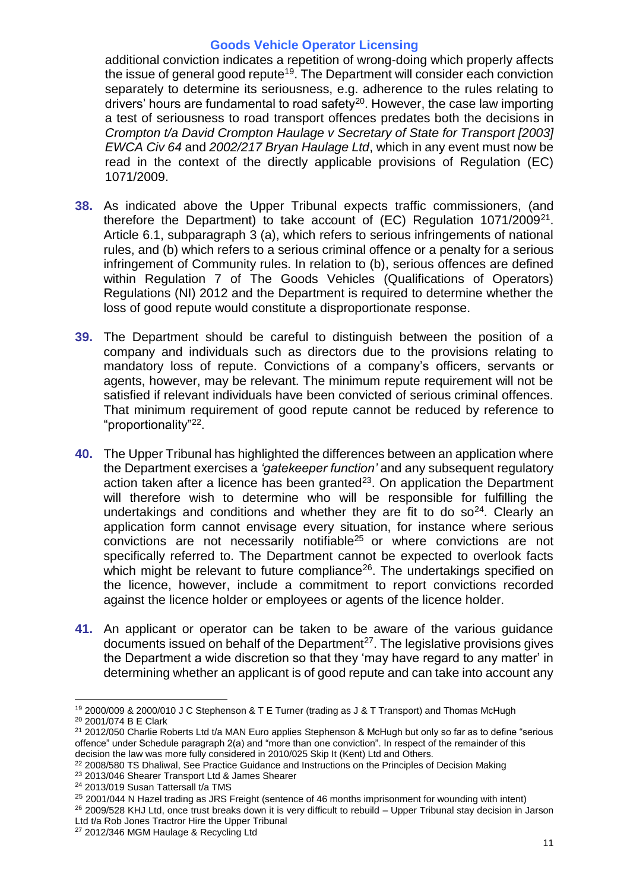additional conviction indicates a repetition of wrong-doing which properly affects the issue of general good repute<sup>19</sup>. The Department will consider each conviction separately to determine its seriousness, e.g. adherence to the rules relating to drivers' hours are fundamental to road safety<sup>20</sup>. However, the case law importing a test of seriousness to road transport offences predates both the decisions in *Crompton t/a David Crompton Haulage v Secretary of State for Transport [2003] EWCA Civ 64* and *2002/217 Bryan Haulage Ltd*, which in any event must now be read in the context of the directly applicable provisions of Regulation (EC) 1071/2009.

- **38.** As indicated above the Upper Tribunal expects traffic commissioners, (and therefore the Department) to take account of (EC) Regulation 1071/2009<sup>21</sup>. Article 6.1, subparagraph 3 (a), which refers to serious infringements of national rules, and (b) which refers to a serious criminal offence or a penalty for a serious infringement of Community rules. In relation to (b), serious offences are defined within Regulation 7 of The Goods Vehicles (Qualifications of Operators) Regulations (NI) 2012 and the Department is required to determine whether the loss of good repute would constitute a disproportionate response.
- **39.** The Department should be careful to distinguish between the position of a company and individuals such as directors due to the provisions relating to mandatory loss of repute. Convictions of a company's officers, servants or agents, however, may be relevant. The minimum repute requirement will not be satisfied if relevant individuals have been convicted of serious criminal offences. That minimum requirement of good repute cannot be reduced by reference to "proportionality"<sup>22</sup>.
- **40.** The Upper Tribunal has highlighted the differences between an application where the Department exercises a *'gatekeeper function'* and any subsequent regulatory action taken after a licence has been granted $23$ . On application the Department will therefore wish to determine who will be responsible for fulfilling the undertakings and conditions and whether they are fit to do  $so<sup>24</sup>$ . Clearly an application form cannot envisage every situation, for instance where serious convictions are not necessarily notifiable<sup>25</sup> or where convictions are not specifically referred to. The Department cannot be expected to overlook facts which might be relevant to future compliance<sup>26</sup>. The undertakings specified on the licence, however, include a commitment to report convictions recorded against the licence holder or employees or agents of the licence holder.
- **41.** An applicant or operator can be taken to be aware of the various guidance  $d$  documents issued on behalf of the Department<sup>27</sup>. The legislative provisions gives the Department a wide discretion so that they 'may have regard to any matter' in determining whether an applicant is of good repute and can take into account any

<sup>19</sup> 2000/009 & 2000/010 J C Stephenson & T E Turner (trading as J & T Transport) and Thomas McHugh <sup>20</sup> 2001/074 B E Clark

<sup>&</sup>lt;sup>21</sup> 2012/050 Charlie Roberts Ltd t/a MAN Euro applies Stephenson & McHugh but only so far as to define "serious offence" under Schedule paragraph 2(a) and "more than one conviction". In respect of the remainder of this decision the law was more fully considered in 2010/025 Skip It (Kent) Ltd and Others.

<sup>&</sup>lt;sup>22</sup> 2008/580 TS Dhaliwal, See Practice Guidance and Instructions on the Principles of Decision Making

<sup>23</sup> 2013/046 Shearer Transport Ltd & James Shearer

<sup>24</sup> 2013/019 Susan Tattersall t/a TMS

<sup>25</sup> 2001/044 N Hazel trading as JRS Freight (sentence of 46 months imprisonment for wounding with intent)

<sup>&</sup>lt;sup>26</sup> 2009/528 KHJ Ltd, once trust breaks down it is very difficult to rebuild – Upper Tribunal stay decision in Jarson Ltd t/a Rob Jones Tractror Hire the Upper Tribunal

<sup>&</sup>lt;sup>27</sup> 2012/346 MGM Haulage & Recycling Ltd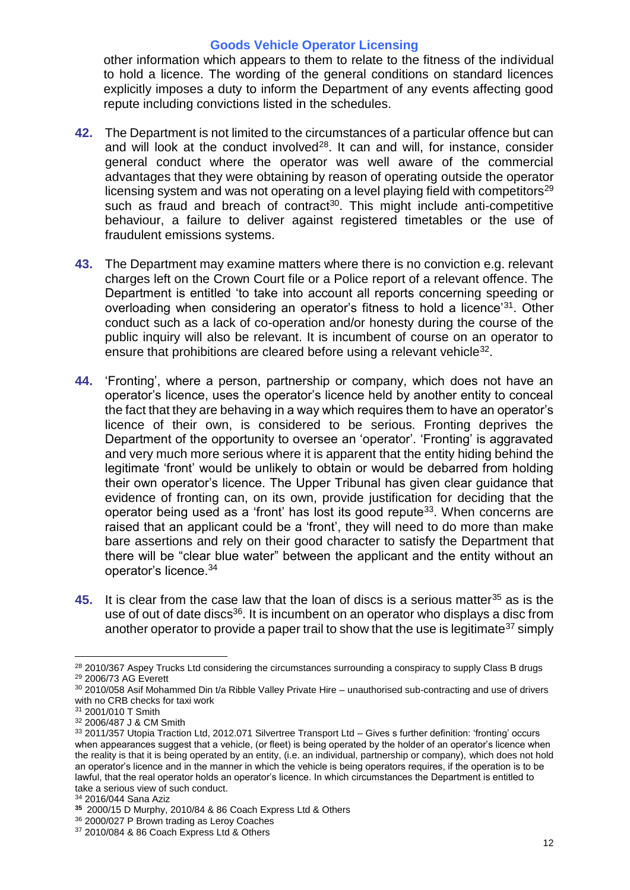other information which appears to them to relate to the fitness of the individual to hold a licence. The wording of the general conditions on standard licences explicitly imposes a duty to inform the Department of any events affecting good repute including convictions listed in the schedules.

- **42.** The Department is not limited to the circumstances of a particular offence but can and will look at the conduct involved $28$ . It can and will, for instance, consider general conduct where the operator was well aware of the commercial advantages that they were obtaining by reason of operating outside the operator licensing system and was not operating on a level playing field with competitors<sup>29</sup> such as fraud and breach of contract<sup>30</sup>. This might include anti-competitive behaviour, a failure to deliver against registered timetables or the use of fraudulent emissions systems.
- **43.** The Department may examine matters where there is no conviction e.g. relevant charges left on the Crown Court file or a Police report of a relevant offence. The Department is entitled 'to take into account all reports concerning speeding or overloading when considering an operator's fitness to hold a licence<sup>'31</sup>. Other conduct such as a lack of co-operation and/or honesty during the course of the public inquiry will also be relevant. It is incumbent of course on an operator to ensure that prohibitions are cleared before using a relevant vehicle $32$ .
- **44.** 'Fronting', where a person, partnership or company, which does not have an operator's licence, uses the operator's licence held by another entity to conceal the fact that they are behaving in a way which requires them to have an operator's licence of their own, is considered to be serious. Fronting deprives the Department of the opportunity to oversee an 'operator'. 'Fronting' is aggravated and very much more serious where it is apparent that the entity hiding behind the legitimate 'front' would be unlikely to obtain or would be debarred from holding their own operator's licence. The Upper Tribunal has given clear guidance that evidence of fronting can, on its own, provide justification for deciding that the operator being used as a 'front' has lost its good repute<sup>33</sup>. When concerns are raised that an applicant could be a 'front', they will need to do more than make bare assertions and rely on their good character to satisfy the Department that there will be "clear blue water" between the applicant and the entity without an operator's licence.<sup>34</sup>
- **45.** It is clear from the case law that the loan of discs is a serious matter<sup>35</sup> as is the use of out of date discs<sup>36</sup>. It is incumbent on an operator who displays a disc from another operator to provide a paper trail to show that the use is legitimate<sup>37</sup> simply

 $\overline{a}$ 

<sup>34</sup> 2016/044 Sana Aziz

<sup>&</sup>lt;sup>28</sup> 2010/367 Aspey Trucks Ltd considering the circumstances surrounding a conspiracy to supply Class B drugs <sup>29</sup> 2006/73 AG Everett

<sup>30</sup> 2010/058 Asif Mohammed Din t/a Ribble Valley Private Hire – unauthorised sub-contracting and use of drivers with no CRB checks for taxi work

<sup>31</sup> 2001/010 T Smith

<sup>32</sup> 2006/487 J & CM Smith

<sup>33 2011/357</sup> Utopia Traction Ltd, 2012.071 Silvertree Transport Ltd - Gives s further definition: 'fronting' occurs when appearances suggest that a vehicle, (or fleet) is being operated by the holder of an operator's licence when the reality is that it is being operated by an entity, (i.e. an individual, partnership or company), which does not hold an operator's licence and in the manner in which the vehicle is being operators requires, if the operation is to be lawful, that the real operator holds an operator's licence. In which circumstances the Department is entitled to take a serious view of such conduct.

**<sup>35</sup>** 2000/15 D Murphy, 2010/84 & 86 Coach Express Ltd & Others

<sup>36</sup> 2000/027 P Brown trading as Leroy Coaches

<sup>37</sup> 2010/084 & 86 Coach Express Ltd & Others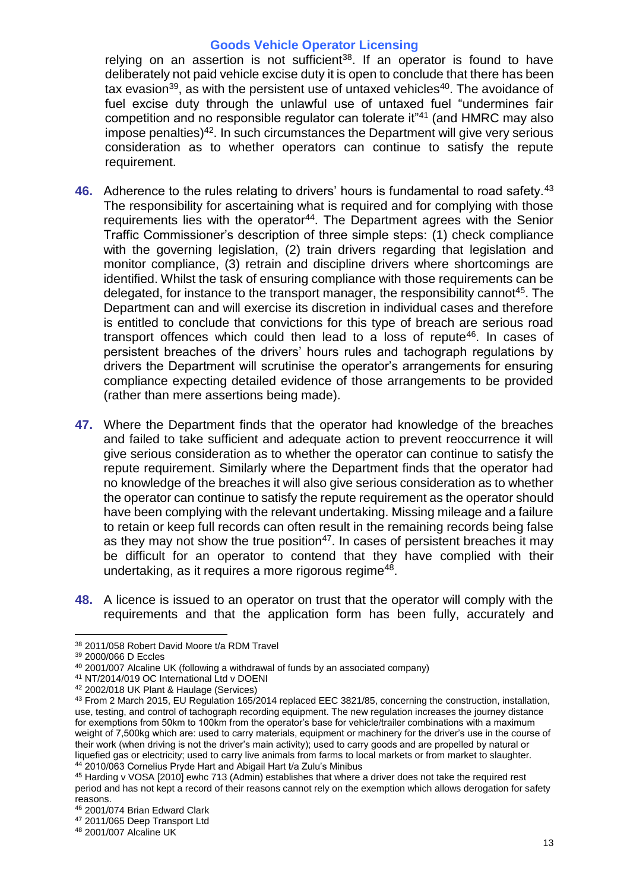relying on an assertion is not sufficient<sup>38</sup>. If an operator is found to have deliberately not paid vehicle excise duty it is open to conclude that there has been tax evasion<sup>39</sup>, as with the persistent use of untaxed vehicles<sup>40</sup>. The avoidance of fuel excise duty through the unlawful use of untaxed fuel "undermines fair competition and no responsible regulator can tolerate it"<sup>41</sup> (and HMRC may also impose penalties) <sup>42</sup>. In such circumstances the Department will give very serious consideration as to whether operators can continue to satisfy the repute requirement.

- **46.** Adherence to the rules relating to drivers' hours is fundamental to road safety.<sup>43</sup> The responsibility for ascertaining what is required and for complying with those requirements lies with the operator<sup>44</sup>. The Department agrees with the Senior Traffic Commissioner's description of three simple steps: (1) check compliance with the governing legislation, (2) train drivers regarding that legislation and monitor compliance, (3) retrain and discipline drivers where shortcomings are identified. Whilst the task of ensuring compliance with those requirements can be delegated, for instance to the transport manager, the responsibility cannot<sup>45</sup>. The Department can and will exercise its discretion in individual cases and therefore is entitled to conclude that convictions for this type of breach are serious road transport offences which could then lead to a loss of repute<sup>46</sup>. In cases of persistent breaches of the drivers' hours rules and tachograph regulations by drivers the Department will scrutinise the operator's arrangements for ensuring compliance expecting detailed evidence of those arrangements to be provided (rather than mere assertions being made).
- **47.** Where the Department finds that the operator had knowledge of the breaches and failed to take sufficient and adequate action to prevent reoccurrence it will give serious consideration as to whether the operator can continue to satisfy the repute requirement. Similarly where the Department finds that the operator had no knowledge of the breaches it will also give serious consideration as to whether the operator can continue to satisfy the repute requirement as the operator should have been complying with the relevant undertaking. Missing mileage and a failure to retain or keep full records can often result in the remaining records being false as they may not show the true position<sup>47</sup>. In cases of persistent breaches it may be difficult for an operator to contend that they have complied with their undertaking, as it requires a more rigorous regime<sup>48</sup>.
- **48.** A licence is issued to an operator on trust that the operator will comply with the requirements and that the application form has been fully, accurately and

<sup>38</sup> 2011/058 Robert David Moore t/a RDM Travel

<sup>39</sup> 2000/066 D Eccles

<sup>40</sup> 2001/007 Alcaline UK (following a withdrawal of funds by an associated company)

<sup>41</sup> NT/2014/019 OC International Ltd v DOENI

<sup>42</sup> 2002/018 UK Plant & Haulage (Services)

<sup>43</sup> From 2 March 2015, EU Regulation 165/2014 replaced EEC 3821/85, concerning the construction, installation, use, testing, and control of tachograph recording equipment. The new regulation increases the journey distance for exemptions from 50km to 100km from the operator's base for vehicle/trailer combinations with a maximum weight of 7,500kg which are: used to carry materials, equipment or machinery for the driver's use in the course of their work (when driving is not the driver's main activity); used to carry goods and are propelled by natural or liquefied gas or electricity; used to carry live animals from farms to local markets or from market to slaughter. <sup>44</sup> 2010/063 Cornelius Pryde Hart and Abigail Hart t/a Zulu's Minibus

<sup>45</sup> Harding v VOSA [2010] ewhc 713 (Admin) establishes that where a driver does not take the required rest period and has not kept a record of their reasons cannot rely on the exemption which allows derogation for safety reasons.

<sup>46</sup> 2001/074 Brian Edward Clark

<sup>47</sup> 2011/065 Deep Transport Ltd

<sup>48</sup> 2001/007 Alcaline UK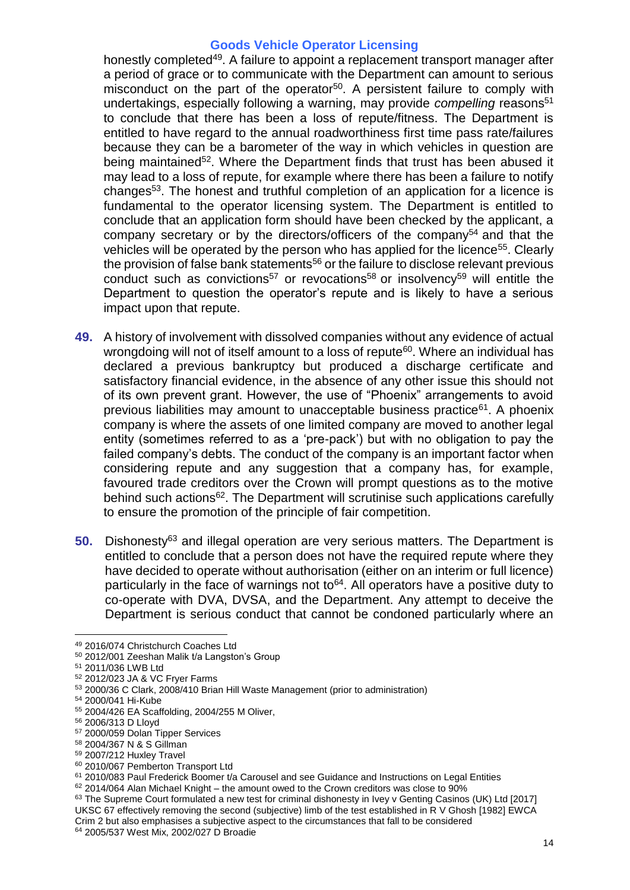honestly completed<sup>49</sup>. A failure to appoint a replacement transport manager after a period of grace or to communicate with the Department can amount to serious misconduct on the part of the operator<sup>50</sup>. A persistent failure to comply with undertakings, especially following a warning, may provide *compelling* reasons<sup>51</sup> to conclude that there has been a loss of repute/fitness. The Department is entitled to have regard to the annual roadworthiness first time pass rate/failures because they can be a barometer of the way in which vehicles in question are being maintained<sup>52</sup>. Where the Department finds that trust has been abused it may lead to a loss of repute, for example where there has been a failure to notify changes<sup>53</sup>. The honest and truthful completion of an application for a licence is fundamental to the operator licensing system. The Department is entitled to conclude that an application form should have been checked by the applicant, a company secretary or by the directors/officers of the company<sup>54</sup> and that the vehicles will be operated by the person who has applied for the licence<sup>55</sup>. Clearly the provision of false bank statements<sup>56</sup> or the failure to disclose relevant previous conduct such as convictions<sup>57</sup> or revocations<sup>58</sup> or insolvency<sup>59</sup> will entitle the Department to question the operator's repute and is likely to have a serious impact upon that repute.

- **49.** A history of involvement with dissolved companies without any evidence of actual wrongdoing will not of itself amount to a loss of repute<sup>60</sup>. Where an individual has declared a previous bankruptcy but produced a discharge certificate and satisfactory financial evidence, in the absence of any other issue this should not of its own prevent grant. However, the use of "Phoenix" arrangements to avoid previous liabilities may amount to unacceptable business practice<sup>61</sup>. A phoenix company is where the assets of one limited company are moved to another legal entity (sometimes referred to as a 'pre-pack') but with no obligation to pay the failed company's debts. The conduct of the company is an important factor when considering repute and any suggestion that a company has, for example, favoured trade creditors over the Crown will prompt questions as to the motive behind such actions<sup>62</sup>. The Department will scrutinise such applications carefully to ensure the promotion of the principle of fair competition.
- **50.** Dishonesty<sup>63</sup> and illegal operation are very serious matters. The Department is entitled to conclude that a person does not have the required repute where they have decided to operate without authorisation (either on an interim or full licence) particularly in the face of warnings not to<sup> $64$ </sup>. All operators have a positive duty to co-operate with DVA, DVSA, and the Department. Any attempt to deceive the Department is serious conduct that cannot be condoned particularly where an

<sup>49</sup> 2016/074 Christchurch Coaches Ltd

<sup>50</sup> 2012/001 Zeeshan Malik t/a Langston's Group

<sup>51</sup> 2011/036 LWB Ltd

<sup>52</sup> 2012/023 JA & VC Fryer Farms

<sup>53</sup> 2000/36 C Clark, 2008/410 Brian Hill Waste Management (prior to administration)

<sup>54</sup> 2000/041 Hi-Kube

<sup>55</sup> 2004/426 EA Scaffolding, 2004/255 M Oliver,

<sup>56</sup> 2006/313 D Lloyd

<sup>57</sup> 2000/059 Dolan Tipper Services

<sup>58</sup> 2004/367 N & S Gillman

<sup>59</sup> 2007/212 Huxley Travel

<sup>&</sup>lt;sup>60</sup> 2010/067 Pemberton Transport Ltd

<sup>61</sup> 2010/083 Paul Frederick Boomer t/a Carousel and see Guidance and Instructions on Legal Entities

<sup>62</sup> 2014/064 Alan Michael Knight – the amount owed to the Crown creditors was close to 90%

<sup>63</sup> The Supreme Court formulated a new test for criminal dishonesty in Ivey v Genting Casinos (UK) Ltd [2017] UKSC 67 effectively removing the second (subjective) limb of the test established in R V Ghosh [1982] EWCA Crim 2 but also emphasises a subjective aspect to the circumstances that fall to be considered <sup>64</sup> 2005/537 West Mix, 2002/027 D Broadie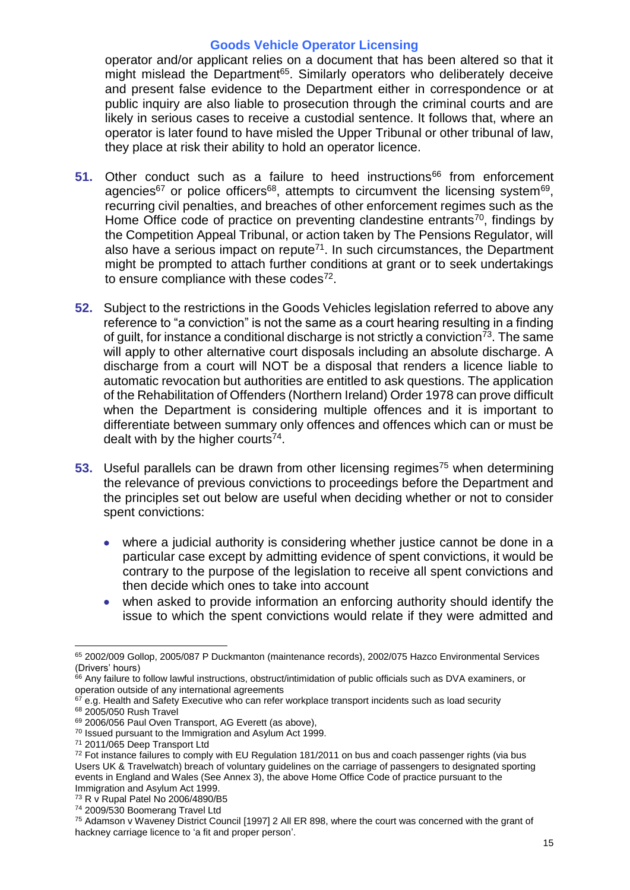operator and/or applicant relies on a document that has been altered so that it might mislead the Department<sup>65</sup>. Similarly operators who deliberately deceive and present false evidence to the Department either in correspondence or at public inquiry are also liable to prosecution through the criminal courts and are likely in serious cases to receive a custodial sentence. It follows that, where an operator is later found to have misled the Upper Tribunal or other tribunal of law, they place at risk their ability to hold an operator licence.

- **51.** Other conduct such as a failure to heed instructions<sup>66</sup> from enforcement agencies<sup>67</sup> or police officers<sup>68</sup>, attempts to circumvent the licensing system<sup>69</sup>, recurring civil penalties, and breaches of other enforcement regimes such as the Home Office code of practice on preventing clandestine entrants<sup>70</sup>, findings by the Competition Appeal Tribunal, or action taken by The Pensions Regulator, will also have a serious impact on repute<sup>71</sup>. In such circumstances, the Department might be prompted to attach further conditions at grant or to seek undertakings to ensure compliance with these codes $72$ .
- **52.** Subject to the restrictions in the Goods Vehicles legislation referred to above any reference to "a conviction" is not the same as a court hearing resulting in a finding of guilt, for instance a conditional discharge is not strictly a conviction<sup>73</sup>. The same will apply to other alternative court disposals including an absolute discharge. A discharge from a court will NOT be a disposal that renders a licence liable to automatic revocation but authorities are entitled to ask questions. The application of the Rehabilitation of Offenders (Northern Ireland) Order 1978 can prove difficult when the Department is considering multiple offences and it is important to differentiate between summary only offences and offences which can or must be dealt with by the higher courts<sup>74</sup>.
- **53.** Useful parallels can be drawn from other licensing regimes<sup>75</sup> when determining the relevance of previous convictions to proceedings before the Department and the principles set out below are useful when deciding whether or not to consider spent convictions:
	- where a judicial authority is considering whether justice cannot be done in a particular case except by admitting evidence of spent convictions, it would be contrary to the purpose of the legislation to receive all spent convictions and then decide which ones to take into account
	- when asked to provide information an enforcing authority should identify the issue to which the spent convictions would relate if they were admitted and

 $\overline{a}$ <sup>65</sup> 2002/009 Gollop, 2005/087 P Duckmanton (maintenance records), 2002/075 Hazco Environmental Services (Drivers' hours)

<sup>&</sup>lt;sup>66</sup> Any failure to follow lawful instructions, obstruct/intimidation of public officials such as DVA examiners, or operation outside of any international agreements

<sup>67</sup> e.g. Health and Safety Executive who can refer workplace transport incidents such as load security <sup>68</sup> 2005/050 Rush Travel

<sup>69</sup> 2006/056 Paul Oven Transport, AG Everett (as above),

<sup>70</sup> Issued pursuant to the Immigration and Asylum Act 1999.

<sup>71</sup> 2011/065 Deep Transport Ltd

<sup>&</sup>lt;sup>72</sup> Fot instance failures to comply with EU Regulation 181/2011 on bus and coach passenger rights (via bus Users UK & Travelwatch) breach of voluntary guidelines on the carriage of passengers to designated sporting events in England and Wales (See Annex 3), the above Home Office Code of practice pursuant to the Immigration and Asylum Act 1999.

<sup>73</sup> R v Rupal Patel No 2006/4890/B5

<sup>74</sup> 2009/530 Boomerang Travel Ltd

<sup>75</sup> Adamson v Waveney District Council [1997] 2 All ER 898, where the court was concerned with the grant of hackney carriage licence to 'a fit and proper person'.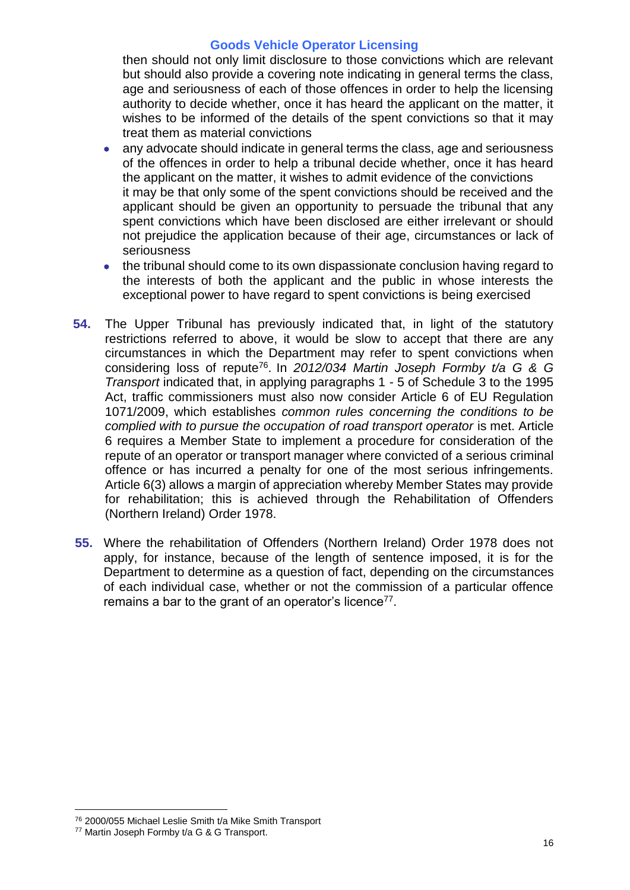then should not only limit disclosure to those convictions which are relevant but should also provide a covering note indicating in general terms the class, age and seriousness of each of those offences in order to help the licensing authority to decide whether, once it has heard the applicant on the matter, it wishes to be informed of the details of the spent convictions so that it may treat them as material convictions

- any advocate should indicate in general terms the class, age and seriousness of the offences in order to help a tribunal decide whether, once it has heard the applicant on the matter, it wishes to admit evidence of the convictions it may be that only some of the spent convictions should be received and the applicant should be given an opportunity to persuade the tribunal that any spent convictions which have been disclosed are either irrelevant or should not prejudice the application because of their age, circumstances or lack of seriousness
- the tribunal should come to its own dispassionate conclusion having regard to the interests of both the applicant and the public in whose interests the exceptional power to have regard to spent convictions is being exercised
- **54.** The Upper Tribunal has previously indicated that, in light of the statutory restrictions referred to above, it would be slow to accept that there are any circumstances in which the Department may refer to spent convictions when considering loss of repute<sup>76</sup> . In *2012/034 Martin Joseph Formby t/a G & G Transport* indicated that, in applying paragraphs 1 - 5 of Schedule 3 to the 1995 Act, traffic commissioners must also now consider Article 6 of EU Regulation 1071/2009, which establishes *common rules concerning the conditions to be complied with to pursue the occupation of road transport operator* is met. Article 6 requires a Member State to implement a procedure for consideration of the repute of an operator or transport manager where convicted of a serious criminal offence or has incurred a penalty for one of the most serious infringements. Article 6(3) allows a margin of appreciation whereby Member States may provide for rehabilitation; this is achieved through the Rehabilitation of Offenders (Northern Ireland) Order 1978.
- **55.** Where the rehabilitation of Offenders (Northern Ireland) Order 1978 does not apply, for instance, because of the length of sentence imposed, it is for the Department to determine as a question of fact, depending on the circumstances of each individual case, whether or not the commission of a particular offence remains a bar to the grant of an operator's licence $77$ .

<sup>76</sup> 2000/055 Michael Leslie Smith t/a Mike Smith Transport

<sup>77</sup> Martin Joseph Formby t/a G & G Transport.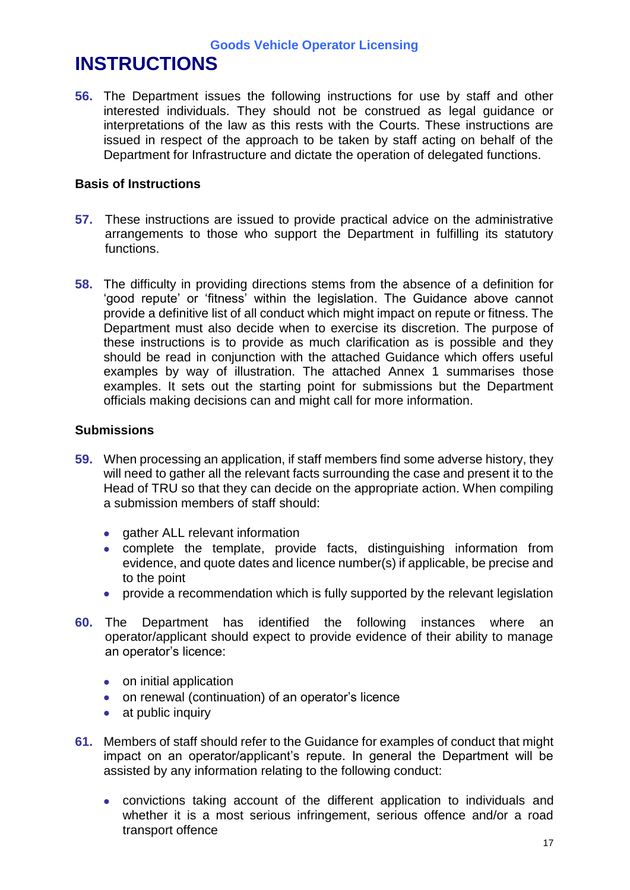# **INSTRUCTIONS**

**56.** The Department issues the following instructions for use by staff and other interested individuals. They should not be construed as legal guidance or interpretations of the law as this rests with the Courts. These instructions are issued in respect of the approach to be taken by staff acting on behalf of the Department for Infrastructure and dictate the operation of delegated functions.

# **Basis of Instructions**

- **57.** These instructions are issued to provide practical advice on the administrative arrangements to those who support the Department in fulfilling its statutory functions.
- **58.** The difficulty in providing directions stems from the absence of a definition for 'good repute' or 'fitness' within the legislation. The Guidance above cannot provide a definitive list of all conduct which might impact on repute or fitness. The Department must also decide when to exercise its discretion. The purpose of these instructions is to provide as much clarification as is possible and they should be read in conjunction with the attached Guidance which offers useful examples by way of illustration. The attached Annex 1 summarises those examples. It sets out the starting point for submissions but the Department officials making decisions can and might call for more information.

### **Submissions**

- **59.** When processing an application, if staff members find some adverse history, they will need to gather all the relevant facts surrounding the case and present it to the Head of TRU so that they can decide on the appropriate action. When compiling a submission members of staff should:
	- gather ALL relevant information
	- complete the template, provide facts, distinguishing information from evidence, and quote dates and licence number(s) if applicable, be precise and to the point
	- provide a recommendation which is fully supported by the relevant legislation
- **60.** The Department has identified the following instances where an operator/applicant should expect to provide evidence of their ability to manage an operator's licence:
	- on initial application
	- on renewal (continuation) of an operator's licence
	- at public inquiry
- **61.** Members of staff should refer to the Guidance for examples of conduct that might impact on an operator/applicant's repute. In general the Department will be assisted by any information relating to the following conduct:
	- convictions taking account of the different application to individuals and whether it is a most serious infringement, serious offence and/or a road transport offence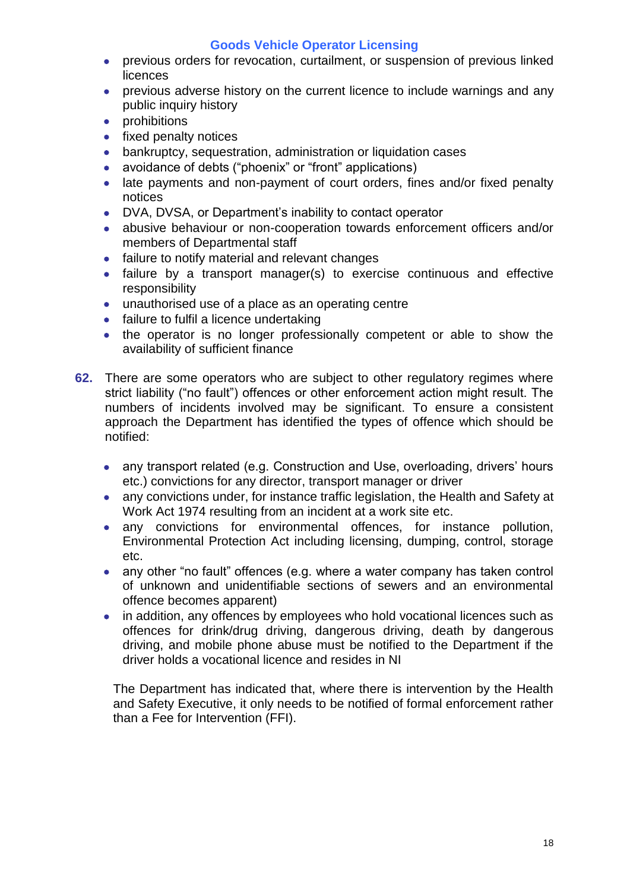- previous orders for revocation, curtailment, or suspension of previous linked licences
- previous adverse history on the current licence to include warnings and any public inquiry history
- prohibitions
- $\bullet$  fixed penalty notices
- bankruptcy, sequestration, administration or liquidation cases
- avoidance of debts ("phoenix" or "front" applications)
- late payments and non-payment of court orders, fines and/or fixed penalty notices
- DVA, DVSA, or Department's inability to contact operator
- abusive behaviour or non-cooperation towards enforcement officers and/or members of Departmental staff
- failure to notify material and relevant changes
- failure by a transport manager(s) to exercise continuous and effective responsibility
- unauthorised use of a place as an operating centre
- failure to fulfil a licence undertaking
- the operator is no longer professionally competent or able to show the availability of sufficient finance
- **62.** There are some operators who are subject to other regulatory regimes where strict liability ("no fault") offences or other enforcement action might result. The numbers of incidents involved may be significant. To ensure a consistent approach the Department has identified the types of offence which should be notified:
	- any transport related (e.g. Construction and Use, overloading, drivers' hours etc.) convictions for any director, transport manager or driver
	- any convictions under, for instance traffic legislation, the Health and Safety at Work Act 1974 resulting from an incident at a work site etc.
	- any convictions for environmental offences, for instance pollution, Environmental Protection Act including licensing, dumping, control, storage etc.
	- any other "no fault" offences (e.g. where a water company has taken control of unknown and unidentifiable sections of sewers and an environmental offence becomes apparent)
	- in addition, any offences by employees who hold vocational licences such as offences for drink/drug driving, dangerous driving, death by dangerous driving, and mobile phone abuse must be notified to the Department if the driver holds a vocational licence and resides in NI

The Department has indicated that, where there is intervention by the Health and Safety Executive, it only needs to be notified of formal enforcement rather than a Fee for Intervention (FFI).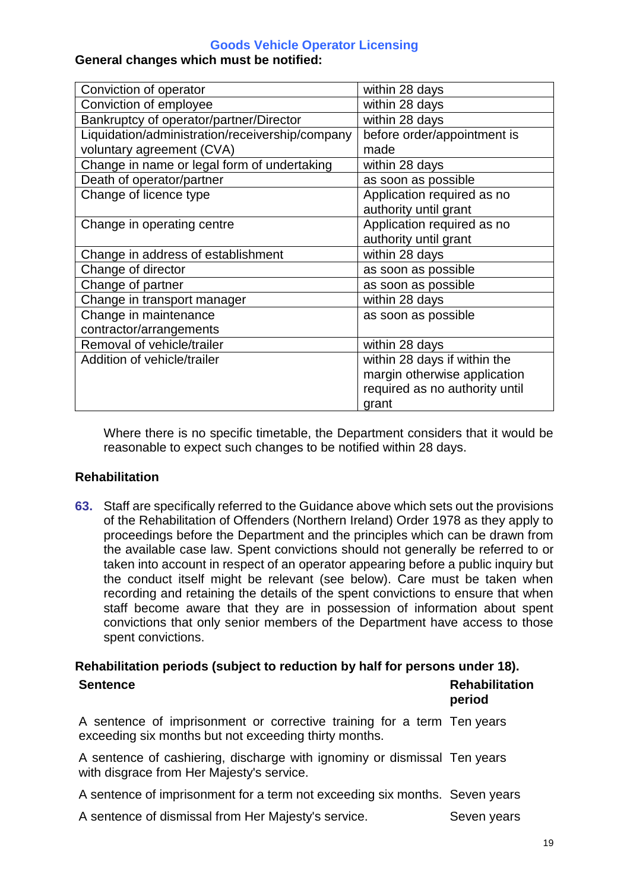#### **General changes which must be notified:**

| Conviction of operator                          | within 28 days                 |
|-------------------------------------------------|--------------------------------|
| Conviction of employee                          | within 28 days                 |
| Bankruptcy of operator/partner/Director         | within 28 days                 |
| Liquidation/administration/receivership/company | before order/appointment is    |
| voluntary agreement (CVA)                       | made                           |
| Change in name or legal form of undertaking     | within 28 days                 |
| Death of operator/partner                       | as soon as possible            |
| Change of licence type                          | Application required as no     |
|                                                 | authority until grant          |
| Change in operating centre                      | Application required as no     |
|                                                 | authority until grant          |
| Change in address of establishment              | within 28 days                 |
| Change of director                              | as soon as possible            |
| Change of partner                               | as soon as possible            |
| Change in transport manager                     | within 28 days                 |
| Change in maintenance                           | as soon as possible            |
| contractor/arrangements                         |                                |
| Removal of vehicle/trailer                      | within 28 days                 |
| Addition of vehicle/trailer                     | within 28 days if within the   |
|                                                 | margin otherwise application   |
|                                                 | required as no authority until |
|                                                 | grant                          |

Where there is no specific timetable, the Department considers that it would be reasonable to expect such changes to be notified within 28 days.

#### **Rehabilitation**

**63.** Staff are specifically referred to the Guidance above which sets out the provisions of the Rehabilitation of Offenders (Northern Ireland) Order 1978 as they apply to proceedings before the Department and the principles which can be drawn from the available case law. Spent convictions should not generally be referred to or taken into account in respect of an operator appearing before a public inquiry but the conduct itself might be relevant (see below). Care must be taken when recording and retaining the details of the spent convictions to ensure that when staff become aware that they are in possession of information about spent convictions that only senior members of the Department have access to those spent convictions.

#### **Rehabilitation periods (subject to reduction by half for persons under 18). Sentence Rehabilitation Rehabilitation**

|                                                                                                                                 | period      |
|---------------------------------------------------------------------------------------------------------------------------------|-------------|
| A sentence of imprisonment or corrective training for a term Ten years<br>exceeding six months but not exceeding thirty months. |             |
| A sentence of cashiering, discharge with ignominy or dismissal Ten years<br>with disgrace from Her Majesty's service.           |             |
| A sentence of imprisonment for a term not exceeding six months. Seven years                                                     |             |
| A sentence of dismissal from Her Majesty's service.                                                                             | Seven years |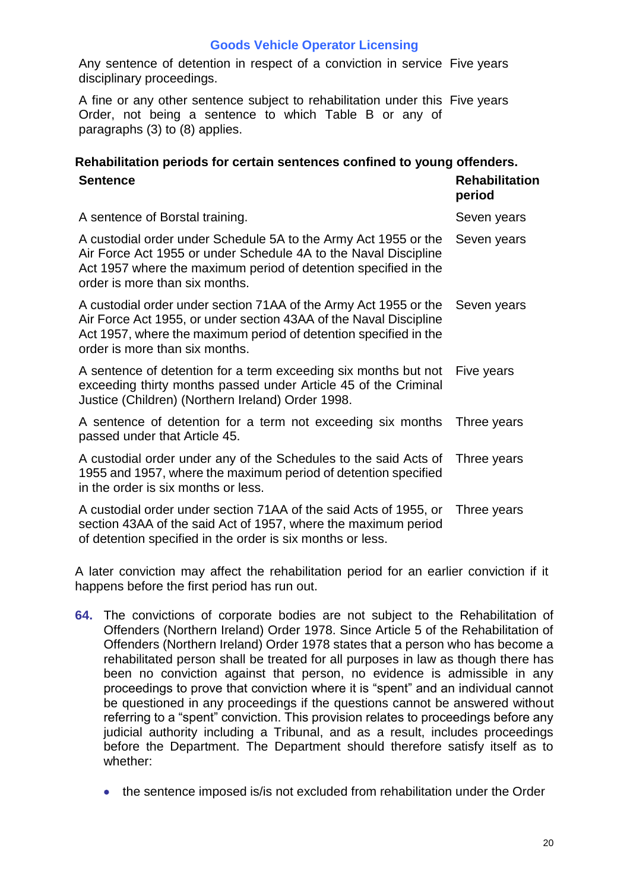Any sentence of detention in respect of a conviction in service Five years disciplinary proceedings.

A fine or any other sentence subject to rehabilitation under this Five years Order, not being a sentence to which Table B or any of paragraphs (3) to (8) applies.

### **Rehabilitation periods for certain sentences confined to young offenders. Sentence Rehabilitation**

|                                                                                                                                                                                                                                             | period      |
|---------------------------------------------------------------------------------------------------------------------------------------------------------------------------------------------------------------------------------------------|-------------|
| A sentence of Borstal training.                                                                                                                                                                                                             | Seven years |
| A custodial order under Schedule 5A to the Army Act 1955 or the<br>Air Force Act 1955 or under Schedule 4A to the Naval Discipline<br>Act 1957 where the maximum period of detention specified in the<br>order is more than six months.     | Seven years |
| A custodial order under section 71AA of the Army Act 1955 or the<br>Air Force Act 1955, or under section 43AA of the Naval Discipline<br>Act 1957, where the maximum period of detention specified in the<br>order is more than six months. | Seven years |
| A sentence of detention for a term exceeding six months but not<br>exceeding thirty months passed under Article 45 of the Criminal<br>Justice (Children) (Northern Ireland) Order 1998.                                                     | Five years  |
| A sentence of detention for a term not exceeding six months<br>passed under that Article 45.                                                                                                                                                | Three years |
| A custodial order under any of the Schedules to the said Acts of<br>1955 and 1957, where the maximum period of detention specified<br>in the order is six months or less.                                                                   | Three years |
| A custodial order under section 71AA of the said Acts of 1955, or<br>section 43AA of the said Act of 1957, where the maximum period<br>of detention specified in the order is six months or less.                                           | Three years |

A later conviction may affect the rehabilitation period for an earlier conviction if it happens before the first period has run out.

- **64.** The convictions of corporate bodies are not subject to the Rehabilitation of Offenders (Northern Ireland) Order 1978. Since Article 5 of the Rehabilitation of Offenders (Northern Ireland) Order 1978 states that a person who has become a rehabilitated person shall be treated for all purposes in law as though there has been no conviction against that person, no evidence is admissible in any proceedings to prove that conviction where it is "spent" and an individual cannot be questioned in any proceedings if the questions cannot be answered without referring to a "spent" conviction. This provision relates to proceedings before any judicial authority including a Tribunal, and as a result, includes proceedings before the Department. The Department should therefore satisfy itself as to whether:
	- the sentence imposed is/is not excluded from rehabilitation under the Order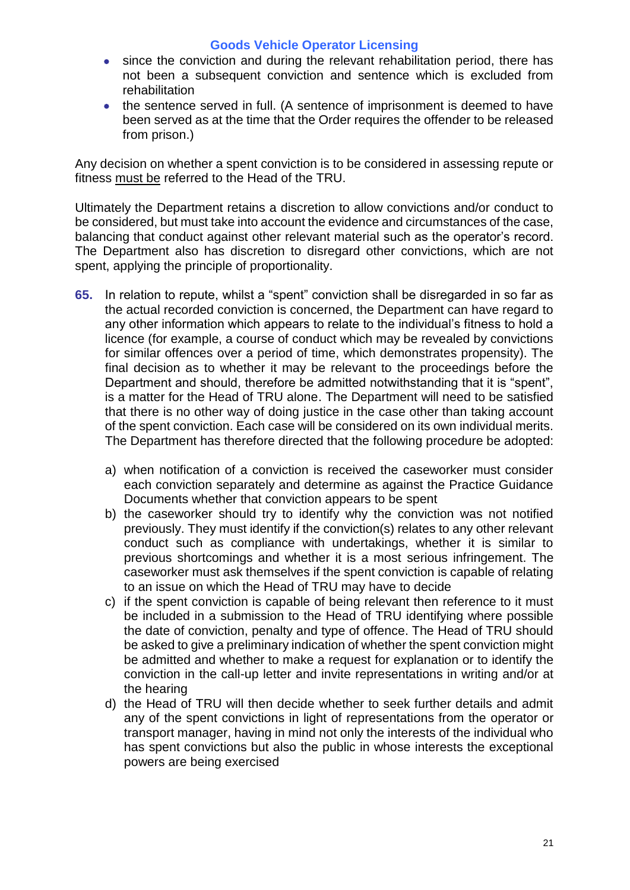- since the conviction and during the relevant rehabilitation period, there has not been a subsequent conviction and sentence which is excluded from rehabilitation
- the sentence served in full. (A sentence of imprisonment is deemed to have been served as at the time that the Order requires the offender to be released from prison.)

Any decision on whether a spent conviction is to be considered in assessing repute or fitness must be referred to the Head of the TRU.

Ultimately the Department retains a discretion to allow convictions and/or conduct to be considered, but must take into account the evidence and circumstances of the case, balancing that conduct against other relevant material such as the operator's record. The Department also has discretion to disregard other convictions, which are not spent, applying the principle of proportionality.

- **65.** In relation to repute, whilst a "spent" conviction shall be disregarded in so far as the actual recorded conviction is concerned, the Department can have regard to any other information which appears to relate to the individual's fitness to hold a licence (for example, a course of conduct which may be revealed by convictions for similar offences over a period of time, which demonstrates propensity). The final decision as to whether it may be relevant to the proceedings before the Department and should, therefore be admitted notwithstanding that it is "spent", is a matter for the Head of TRU alone. The Department will need to be satisfied that there is no other way of doing justice in the case other than taking account of the spent conviction. Each case will be considered on its own individual merits. The Department has therefore directed that the following procedure be adopted:
	- a) when notification of a conviction is received the caseworker must consider each conviction separately and determine as against the Practice Guidance Documents whether that conviction appears to be spent
	- b) the caseworker should try to identify why the conviction was not notified previously. They must identify if the conviction(s) relates to any other relevant conduct such as compliance with undertakings, whether it is similar to previous shortcomings and whether it is a most serious infringement. The caseworker must ask themselves if the spent conviction is capable of relating to an issue on which the Head of TRU may have to decide
	- c) if the spent conviction is capable of being relevant then reference to it must be included in a submission to the Head of TRU identifying where possible the date of conviction, penalty and type of offence. The Head of TRU should be asked to give a preliminary indication of whether the spent conviction might be admitted and whether to make a request for explanation or to identify the conviction in the call-up letter and invite representations in writing and/or at the hearing
	- d) the Head of TRU will then decide whether to seek further details and admit any of the spent convictions in light of representations from the operator or transport manager, having in mind not only the interests of the individual who has spent convictions but also the public in whose interests the exceptional powers are being exercised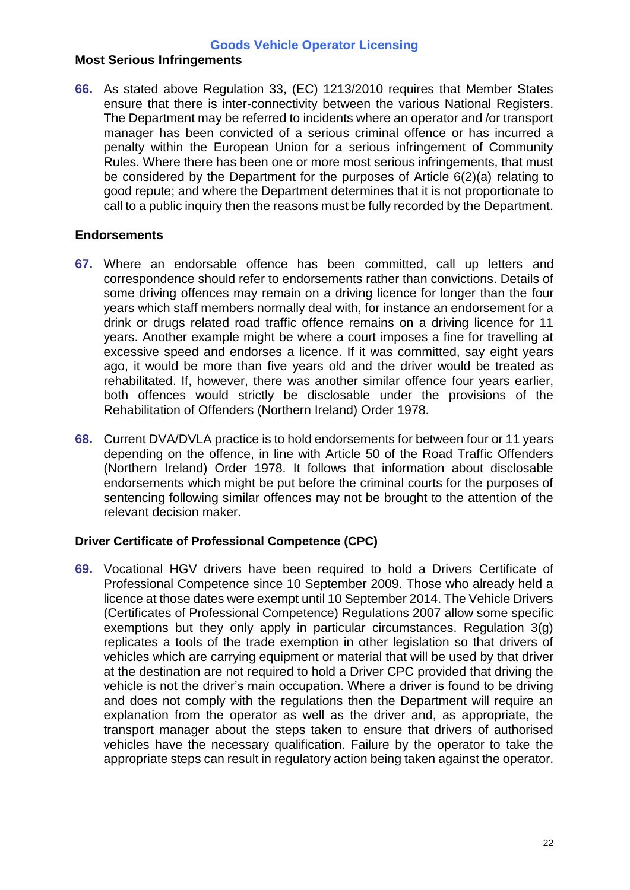#### **Most Serious Infringements**

**66.** As stated above Regulation 33, (EC) 1213/2010 requires that Member States ensure that there is inter-connectivity between the various National Registers. The Department may be referred to incidents where an operator and /or transport manager has been convicted of a serious criminal offence or has incurred a penalty within the European Union for a serious infringement of Community Rules. Where there has been one or more most serious infringements, that must be considered by the Department for the purposes of Article 6(2)(a) relating to good repute; and where the Department determines that it is not proportionate to call to a public inquiry then the reasons must be fully recorded by the Department.

#### **Endorsements**

- **67.** Where an endorsable offence has been committed, call up letters and correspondence should refer to endorsements rather than convictions. Details of some driving offences may remain on a driving licence for longer than the four years which staff members normally deal with, for instance an endorsement for a drink or drugs related road traffic offence remains on a driving licence for 11 years. Another example might be where a court imposes a fine for travelling at excessive speed and endorses a licence. If it was committed, say eight years ago, it would be more than five years old and the driver would be treated as rehabilitated. If, however, there was another similar offence four years earlier, both offences would strictly be disclosable under the provisions of the Rehabilitation of Offenders (Northern Ireland) Order 1978.
- **68.** Current DVA/DVLA practice is to hold endorsements for between four or 11 years depending on the offence, in line with Article 50 of the Road Traffic Offenders (Northern Ireland) Order 1978. It follows that information about disclosable endorsements which might be put before the criminal courts for the purposes of sentencing following similar offences may not be brought to the attention of the relevant decision maker.

#### **Driver Certificate of Professional Competence (CPC)**

**69.** Vocational HGV drivers have been required to hold a Drivers Certificate of Professional Competence since 10 September 2009. Those who already held a licence at those dates were exempt until 10 September 2014. The Vehicle Drivers (Certificates of Professional Competence) Regulations 2007 allow some specific exemptions but they only apply in particular circumstances. Regulation 3(g) replicates a tools of the trade exemption in other legislation so that drivers of vehicles which are carrying equipment or material that will be used by that driver at the destination are not required to hold a Driver CPC provided that driving the vehicle is not the driver's main occupation. Where a driver is found to be driving and does not comply with the regulations then the Department will require an explanation from the operator as well as the driver and, as appropriate, the transport manager about the steps taken to ensure that drivers of authorised vehicles have the necessary qualification. Failure by the operator to take the appropriate steps can result in regulatory action being taken against the operator.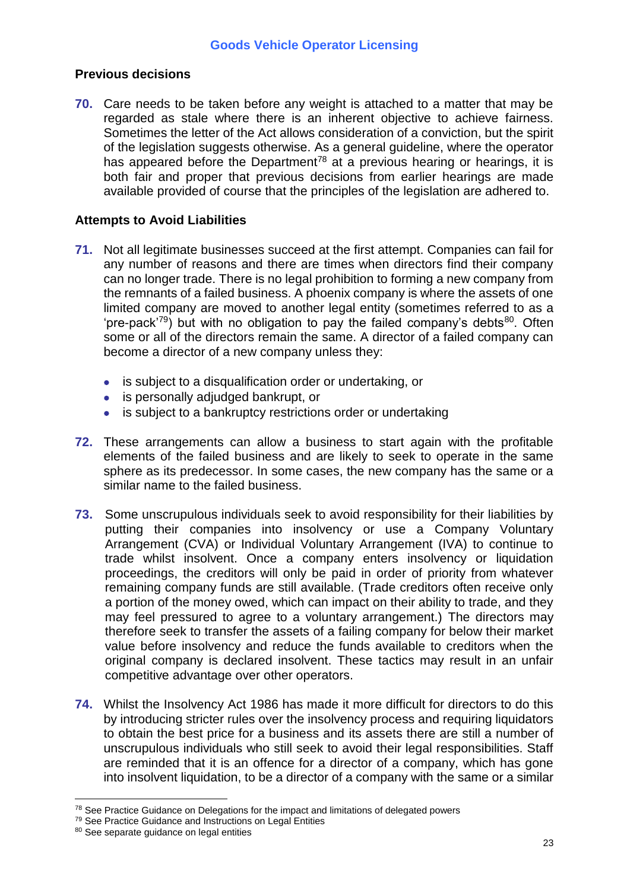#### **Previous decisions**

**70.** Care needs to be taken before any weight is attached to a matter that may be regarded as stale where there is an inherent objective to achieve fairness. Sometimes the letter of the Act allows consideration of a conviction, but the spirit of the legislation suggests otherwise. As a general guideline, where the operator has appeared before the Department<sup>78</sup> at a previous hearing or hearings, it is both fair and proper that previous decisions from earlier hearings are made available provided of course that the principles of the legislation are adhered to.

#### **Attempts to Avoid Liabilities**

- **71.** Not all legitimate businesses succeed at the first attempt. Companies can fail for any number of reasons and there are times when directors find their company can no longer trade. There is no legal prohibition to forming a new company from the remnants of a failed business. A phoenix company is where the assets of one limited company are moved to another legal entity (sometimes referred to as a 'pre-pack<sup>'79</sup>) but with no obligation to pay the failed company's debts<sup>80</sup>. Often some or all of the directors remain the same. A director of a failed company can become a director of a new company unless they:
	- is subject to a disqualification order or undertaking, or
	- is personally adjudged bankrupt, or
	- is subject to a bankruptcy restrictions order or undertaking
- **72.** These arrangements can allow a business to start again with the profitable elements of the failed business and are likely to seek to operate in the same sphere as its predecessor. In some cases, the new company has the same or a similar name to the failed business.
- **73.** Some unscrupulous individuals seek to avoid responsibility for their liabilities by putting their companies into insolvency or use a Company Voluntary Arrangement (CVA) or Individual Voluntary Arrangement (IVA) to continue to trade whilst insolvent. Once a company enters insolvency or liquidation proceedings, the creditors will only be paid in order of priority from whatever remaining company funds are still available. (Trade creditors often receive only a portion of the money owed, which can impact on their ability to trade, and they may feel pressured to agree to a voluntary arrangement.) The directors may therefore seek to transfer the assets of a failing company for below their market value before insolvency and reduce the funds available to creditors when the original company is declared insolvent. These tactics may result in an unfair competitive advantage over other operators.
- **74.** Whilst the Insolvency Act 1986 has made it more difficult for directors to do this by introducing stricter rules over the insolvency process and requiring liquidators to obtain the best price for a business and its assets there are still a number of unscrupulous individuals who still seek to avoid their legal responsibilities. Staff are reminded that it is an offence for a director of a company, which has gone into insolvent liquidation, to be a director of a company with the same or a similar

<sup>&</sup>lt;sup>78</sup> See Practice Guidance on Delegations for the impact and limitations of delegated powers

<sup>79</sup> See Practice Guidance and Instructions on Legal Entities

<sup>80</sup> See separate quidance on legal entities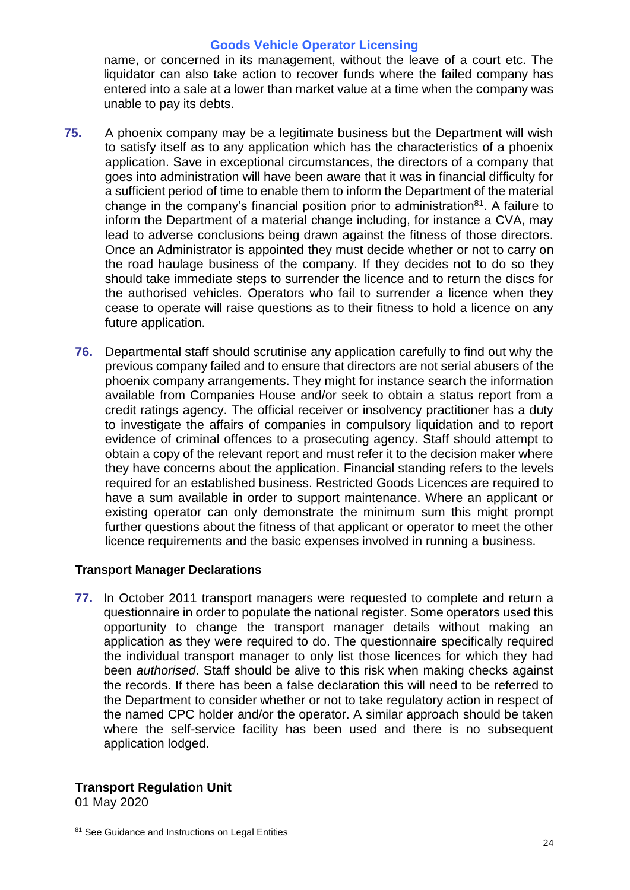name, or concerned in its management, without the leave of a court etc. The liquidator can also take action to recover funds where the failed company has entered into a sale at a lower than market value at a time when the company was unable to pay its debts.

- **75.** A phoenix company may be a legitimate business but the Department will wish to satisfy itself as to any application which has the characteristics of a phoenix application. Save in exceptional circumstances, the directors of a company that goes into administration will have been aware that it was in financial difficulty for a sufficient period of time to enable them to inform the Department of the material change in the company's financial position prior to administration<sup>81</sup>. A failure to inform the Department of a material change including, for instance a CVA, may lead to adverse conclusions being drawn against the fitness of those directors. Once an Administrator is appointed they must decide whether or not to carry on the road haulage business of the company. If they decides not to do so they should take immediate steps to surrender the licence and to return the discs for the authorised vehicles. Operators who fail to surrender a licence when they cease to operate will raise questions as to their fitness to hold a licence on any future application.
	- **76.** Departmental staff should scrutinise any application carefully to find out why the previous company failed and to ensure that directors are not serial abusers of the phoenix company arrangements. They might for instance search the information available from Companies House and/or seek to obtain a status report from a credit ratings agency. The official receiver or insolvency practitioner has a duty to investigate the affairs of companies in compulsory liquidation and to report evidence of criminal offences to a prosecuting agency. Staff should attempt to obtain a copy of the relevant report and must refer it to the decision maker where they have concerns about the application. Financial standing refers to the levels required for an established business. Restricted Goods Licences are required to have a sum available in order to support maintenance. Where an applicant or existing operator can only demonstrate the minimum sum this might prompt further questions about the fitness of that applicant or operator to meet the other licence requirements and the basic expenses involved in running a business.

#### **Transport Manager Declarations**

**77.** In October 2011 transport managers were requested to complete and return a questionnaire in order to populate the national register. Some operators used this opportunity to change the transport manager details without making an application as they were required to do. The questionnaire specifically required the individual transport manager to only list those licences for which they had been *authorised*. Staff should be alive to this risk when making checks against the records. If there has been a false declaration this will need to be referred to the Department to consider whether or not to take regulatory action in respect of the named CPC holder and/or the operator. A similar approach should be taken where the self-service facility has been used and there is no subsequent application lodged.

#### **Transport Regulation Unit**

01 May 2020

<sup>81</sup> See Guidance and Instructions on Legal Entities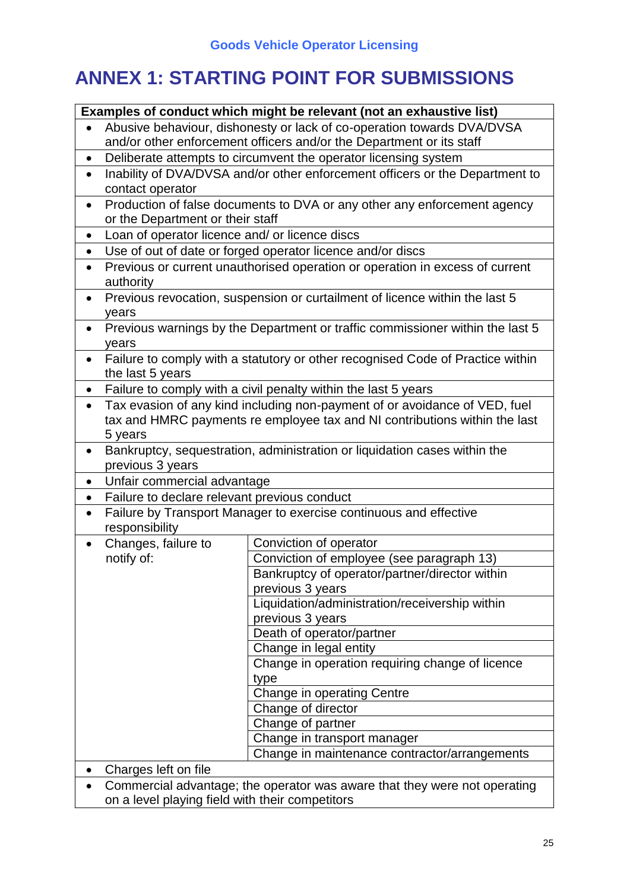# **ANNEX 1: STARTING POINT FOR SUBMISSIONS**

|           | Examples of conduct which might be relevant (not an exhaustive list)      |                                                                                |  |
|-----------|---------------------------------------------------------------------------|--------------------------------------------------------------------------------|--|
|           | Abusive behaviour, dishonesty or lack of co-operation towards DVA/DVSA    |                                                                                |  |
|           | and/or other enforcement officers and/or the Department or its staff      |                                                                                |  |
| $\bullet$ |                                                                           | Deliberate attempts to circumvent the operator licensing system                |  |
| $\bullet$ |                                                                           | Inability of DVA/DVSA and/or other enforcement officers or the Department to   |  |
|           | contact operator                                                          |                                                                                |  |
| $\bullet$ |                                                                           | Production of false documents to DVA or any other any enforcement agency       |  |
|           | or the Department or their staff                                          |                                                                                |  |
| $\bullet$ | Loan of operator licence and/ or licence discs                            |                                                                                |  |
| $\bullet$ |                                                                           | Use of out of date or forged operator licence and/or discs                     |  |
| $\bullet$ |                                                                           | Previous or current unauthorised operation or operation in excess of current   |  |
|           | authority                                                                 |                                                                                |  |
| $\bullet$ |                                                                           | Previous revocation, suspension or curtailment of licence within the last 5    |  |
|           | years                                                                     |                                                                                |  |
| $\bullet$ |                                                                           | Previous warnings by the Department or traffic commissioner within the last 5  |  |
|           | years                                                                     |                                                                                |  |
|           |                                                                           | Failure to comply with a statutory or other recognised Code of Practice within |  |
|           | the last 5 years                                                          |                                                                                |  |
| $\bullet$ |                                                                           | Failure to comply with a civil penalty within the last 5 years                 |  |
| $\bullet$ |                                                                           | Tax evasion of any kind including non-payment of or avoidance of VED, fuel     |  |
|           |                                                                           | tax and HMRC payments re employee tax and NI contributions within the last     |  |
|           | 5 years                                                                   |                                                                                |  |
| $\bullet$ |                                                                           | Bankruptcy, sequestration, administration or liquidation cases within the      |  |
|           | previous 3 years                                                          |                                                                                |  |
|           | Unfair commercial advantage                                               |                                                                                |  |
| $\bullet$ | Failure to declare relevant previous conduct                              |                                                                                |  |
| $\bullet$ |                                                                           |                                                                                |  |
| $\bullet$ |                                                                           | Failure by Transport Manager to exercise continuous and effective              |  |
|           | responsibility                                                            |                                                                                |  |
| $\bullet$ | Changes, failure to                                                       | Conviction of operator                                                         |  |
|           | notify of:                                                                | Conviction of employee (see paragraph 13)                                      |  |
|           |                                                                           | Bankruptcy of operator/partner/director within                                 |  |
|           |                                                                           | previous 3 years                                                               |  |
|           |                                                                           | Liquidation/administration/receivership within                                 |  |
|           |                                                                           | previous 3 years                                                               |  |
|           |                                                                           | Death of operator/partner                                                      |  |
|           |                                                                           | Change in legal entity                                                         |  |
|           |                                                                           | Change in operation requiring change of licence                                |  |
|           |                                                                           | type                                                                           |  |
|           |                                                                           | Change in operating Centre                                                     |  |
|           |                                                                           | Change of director                                                             |  |
|           |                                                                           | Change of partner                                                              |  |
|           |                                                                           | Change in transport manager                                                    |  |
|           |                                                                           | Change in maintenance contractor/arrangements                                  |  |
|           | Charges left on file                                                      |                                                                                |  |
|           | Commercial advantage; the operator was aware that they were not operating |                                                                                |  |
|           | on a level playing field with their competitors                           |                                                                                |  |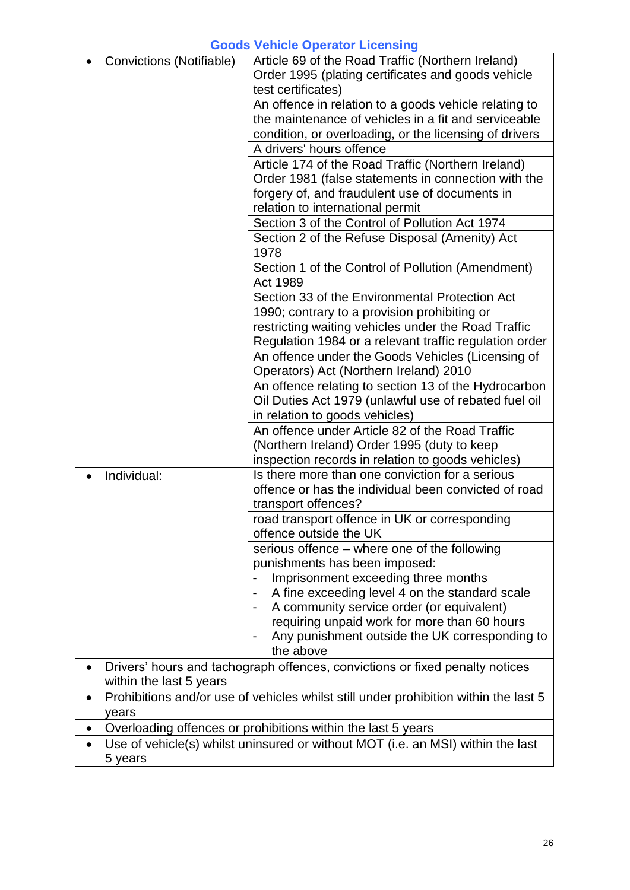|           | Article 69 of the Road Traffic (Northern Ireland)<br>Convictions (Notifiable)<br>Order 1995 (plating certificates and goods vehicle |                                                                              |  |
|-----------|-------------------------------------------------------------------------------------------------------------------------------------|------------------------------------------------------------------------------|--|
|           |                                                                                                                                     | test certificates)                                                           |  |
|           |                                                                                                                                     | An offence in relation to a goods vehicle relating to                        |  |
|           |                                                                                                                                     | the maintenance of vehicles in a fit and serviceable                         |  |
|           |                                                                                                                                     | condition, or overloading, or the licensing of drivers                       |  |
|           |                                                                                                                                     | A drivers' hours offence                                                     |  |
|           |                                                                                                                                     | Article 174 of the Road Traffic (Northern Ireland)                           |  |
|           |                                                                                                                                     | Order 1981 (false statements in connection with the                          |  |
|           |                                                                                                                                     | forgery of, and fraudulent use of documents in                               |  |
|           |                                                                                                                                     | relation to international permit                                             |  |
|           |                                                                                                                                     | Section 3 of the Control of Pollution Act 1974                               |  |
|           |                                                                                                                                     | Section 2 of the Refuse Disposal (Amenity) Act                               |  |
|           |                                                                                                                                     | 1978                                                                         |  |
|           |                                                                                                                                     | Section 1 of the Control of Pollution (Amendment)<br>Act 1989                |  |
|           |                                                                                                                                     | Section 33 of the Environmental Protection Act                               |  |
|           |                                                                                                                                     | 1990; contrary to a provision prohibiting or                                 |  |
|           |                                                                                                                                     | restricting waiting vehicles under the Road Traffic                          |  |
|           |                                                                                                                                     | Regulation 1984 or a relevant traffic regulation order                       |  |
|           |                                                                                                                                     | An offence under the Goods Vehicles (Licensing of                            |  |
|           |                                                                                                                                     | Operators) Act (Northern Ireland) 2010                                       |  |
|           |                                                                                                                                     | An offence relating to section 13 of the Hydrocarbon                         |  |
|           |                                                                                                                                     | Oil Duties Act 1979 (unlawful use of rebated fuel oil                        |  |
|           |                                                                                                                                     | in relation to goods vehicles)                                               |  |
|           |                                                                                                                                     | An offence under Article 82 of the Road Traffic                              |  |
|           |                                                                                                                                     | (Northern Ireland) Order 1995 (duty to keep                                  |  |
|           |                                                                                                                                     | inspection records in relation to goods vehicles)                            |  |
|           | Individual:                                                                                                                         | Is there more than one conviction for a serious                              |  |
|           |                                                                                                                                     | offence or has the individual been convicted of road                         |  |
|           |                                                                                                                                     | transport offences?                                                          |  |
|           |                                                                                                                                     | road transport offence in UK or corresponding                                |  |
|           |                                                                                                                                     | offence outside the UK                                                       |  |
|           |                                                                                                                                     | serious offence – where one of the following                                 |  |
|           |                                                                                                                                     | punishments has been imposed:                                                |  |
|           |                                                                                                                                     | Imprisonment exceeding three months                                          |  |
|           |                                                                                                                                     | A fine exceeding level 4 on the standard scale                               |  |
|           |                                                                                                                                     | A community service order (or equivalent)                                    |  |
|           |                                                                                                                                     | requiring unpaid work for more than 60 hours                                 |  |
|           |                                                                                                                                     | Any punishment outside the UK corresponding to                               |  |
|           |                                                                                                                                     | the above                                                                    |  |
| $\bullet$ |                                                                                                                                     | Drivers' hours and tachograph offences, convictions or fixed penalty notices |  |
|           | within the last 5 years                                                                                                             |                                                                              |  |
|           | Prohibitions and/or use of vehicles whilst still under prohibition within the last 5                                                |                                                                              |  |
|           | years<br>Overloading offences or prohibitions within the last 5 years                                                               |                                                                              |  |
|           | Use of vehicle(s) whilst uninsured or without MOT (i.e. an MSI) within the last                                                     |                                                                              |  |
|           | 5 years                                                                                                                             |                                                                              |  |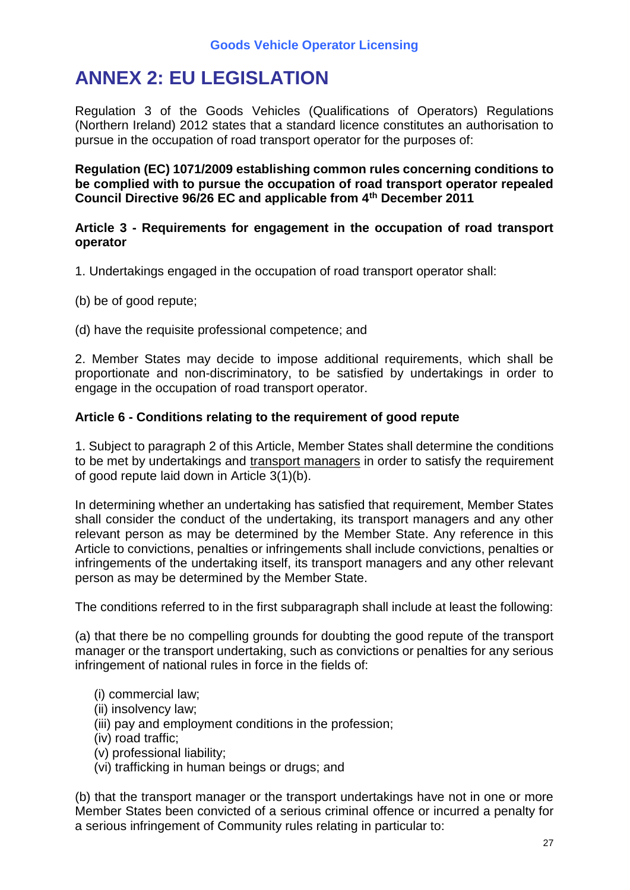# **ANNEX 2: EU LEGISLATION**

Regulation 3 of the Goods Vehicles (Qualifications of Operators) Regulations (Northern Ireland) 2012 states that a standard licence constitutes an authorisation to pursue in the occupation of road transport operator for the purposes of:

**Regulation (EC) 1071/2009 establishing common rules concerning conditions to be complied with to pursue the occupation of road transport operator repealed Council Directive 96/26 EC and applicable from 4th December 2011**

#### **Article 3 - Requirements for engagement in the occupation of road transport operator**

1. Undertakings engaged in the occupation of road transport operator shall:

(b) be of good repute;

(d) have the requisite professional competence; and

2. Member States may decide to impose additional requirements, which shall be proportionate and non-discriminatory, to be satisfied by undertakings in order to engage in the occupation of road transport operator.

# **Article 6 - Conditions relating to the requirement of good repute**

1. Subject to paragraph 2 of this Article, Member States shall determine the conditions to be met by undertakings and transport managers in order to satisfy the requirement of good repute laid down in Article 3(1)(b).

In determining whether an undertaking has satisfied that requirement, Member States shall consider the conduct of the undertaking, its transport managers and any other relevant person as may be determined by the Member State. Any reference in this Article to convictions, penalties or infringements shall include convictions, penalties or infringements of the undertaking itself, its transport managers and any other relevant person as may be determined by the Member State.

The conditions referred to in the first subparagraph shall include at least the following:

(a) that there be no compelling grounds for doubting the good repute of the transport manager or the transport undertaking, such as convictions or penalties for any serious infringement of national rules in force in the fields of:

- (i) commercial law;
- (ii) insolvency law;
- (iii) pay and employment conditions in the profession;
- (iv) road traffic;
- (v) professional liability;
- (vi) trafficking in human beings or drugs; and

(b) that the transport manager or the transport undertakings have not in one or more Member States been convicted of a serious criminal offence or incurred a penalty for a serious infringement of Community rules relating in particular to: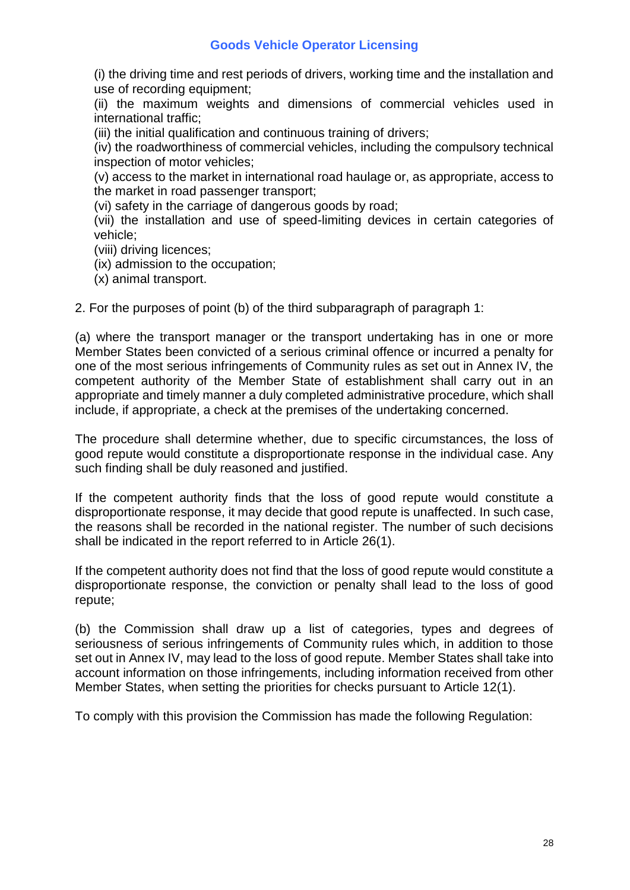(i) the driving time and rest periods of drivers, working time and the installation and use of recording equipment;

(ii) the maximum weights and dimensions of commercial vehicles used in international traffic;

(iii) the initial qualification and continuous training of drivers;

(iv) the roadworthiness of commercial vehicles, including the compulsory technical inspection of motor vehicles;

(v) access to the market in international road haulage or, as appropriate, access to the market in road passenger transport;

(vi) safety in the carriage of dangerous goods by road;

(vii) the installation and use of speed-limiting devices in certain categories of vehicle;

- (viii) driving licences;
- (ix) admission to the occupation;

(x) animal transport.

2. For the purposes of point (b) of the third subparagraph of paragraph 1:

(a) where the transport manager or the transport undertaking has in one or more Member States been convicted of a serious criminal offence or incurred a penalty for one of the most serious infringements of Community rules as set out in Annex IV, the competent authority of the Member State of establishment shall carry out in an appropriate and timely manner a duly completed administrative procedure, which shall include, if appropriate, a check at the premises of the undertaking concerned.

The procedure shall determine whether, due to specific circumstances, the loss of good repute would constitute a disproportionate response in the individual case. Any such finding shall be duly reasoned and justified.

If the competent authority finds that the loss of good repute would constitute a disproportionate response, it may decide that good repute is unaffected. In such case, the reasons shall be recorded in the national register. The number of such decisions shall be indicated in the report referred to in Article 26(1).

If the competent authority does not find that the loss of good repute would constitute a disproportionate response, the conviction or penalty shall lead to the loss of good repute;

(b) the Commission shall draw up a list of categories, types and degrees of seriousness of serious infringements of Community rules which, in addition to those set out in Annex IV, may lead to the loss of good repute. Member States shall take into account information on those infringements, including information received from other Member States, when setting the priorities for checks pursuant to Article 12(1).

To comply with this provision the Commission has made the following Regulation: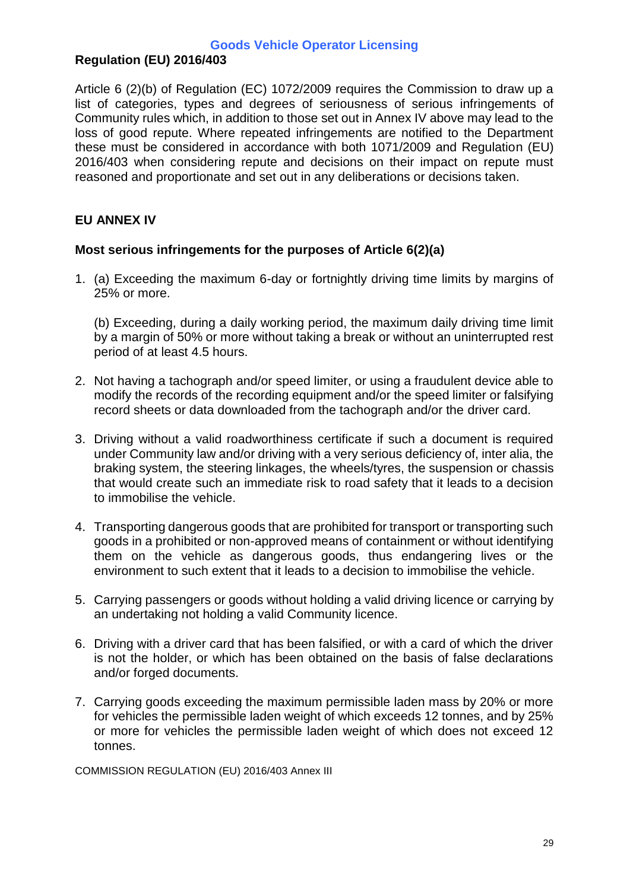# **Regulation (EU) 2016/403**

Article 6 (2)(b) of Regulation (EC) 1072/2009 requires the Commission to draw up a list of categories, types and degrees of seriousness of serious infringements of Community rules which, in addition to those set out in Annex IV above may lead to the loss of good repute. Where repeated infringements are notified to the Department these must be considered in accordance with both 1071/2009 and Regulation (EU) 2016/403 when considering repute and decisions on their impact on repute must reasoned and proportionate and set out in any deliberations or decisions taken.

### **EU ANNEX IV**

#### **Most serious infringements for the purposes of Article 6(2)(a)**

1. (a) Exceeding the maximum 6-day or fortnightly driving time limits by margins of 25% or more.

(b) Exceeding, during a daily working period, the maximum daily driving time limit by a margin of 50% or more without taking a break or without an uninterrupted rest period of at least 4.5 hours.

- 2. Not having a tachograph and/or speed limiter, or using a fraudulent device able to modify the records of the recording equipment and/or the speed limiter or falsifying record sheets or data downloaded from the tachograph and/or the driver card.
- 3. Driving without a valid roadworthiness certificate if such a document is required under Community law and/or driving with a very serious deficiency of, inter alia, the braking system, the steering linkages, the wheels/tyres, the suspension or chassis that would create such an immediate risk to road safety that it leads to a decision to immobilise the vehicle.
- 4. Transporting dangerous goods that are prohibited for transport or transporting such goods in a prohibited or non-approved means of containment or without identifying them on the vehicle as dangerous goods, thus endangering lives or the environment to such extent that it leads to a decision to immobilise the vehicle.
- 5. Carrying passengers or goods without holding a valid driving licence or carrying by an undertaking not holding a valid Community licence.
- 6. Driving with a driver card that has been falsified, or with a card of which the driver is not the holder, or which has been obtained on the basis of false declarations and/or forged documents.
- 7. Carrying goods exceeding the maximum permissible laden mass by 20% or more for vehicles the permissible laden weight of which exceeds 12 tonnes, and by 25% or more for vehicles the permissible laden weight of which does not exceed 12 tonnes.

COMMISSION REGULATION (EU) 2016/403 Annex III